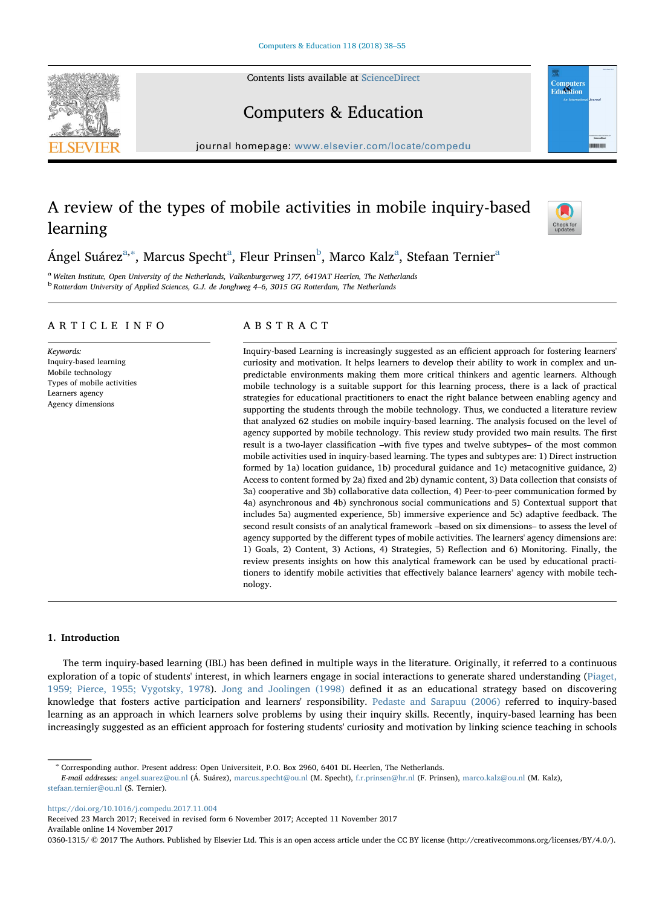Contents lists available at [ScienceDirect](http://www.sciencedirect.com/science/journal/03601315)





## Computers & Education

journal homepage: [www.elsevier.com/locate/compedu](https://www.elsevier.com/locate/compedu)

# A review of the types of mobile activities in mobile inquiry-based learning



## Ángel Suárez<sup>[a,](#page-0-0)[∗](#page-0-1)</sup>, M[a](#page-0-0)rcus Specht<sup>a</sup>, Fleur Prinsen<sup>[b](#page-0-2)</sup>, Marco Kalz<sup>a</sup>, Stefaan Ternier<sup>a</sup>

<span id="page-0-2"></span><span id="page-0-0"></span><sup>a</sup> Welten Institute, Open University of the Netherlands, Valkenburgerweg 177, 6419AT Heerlen, The Netherlands <sup>b</sup> Rotterdam University of Applied Sciences, G.J. de Jonghweg 4–6, 3015 GG Rotterdam, The Netherlands

## ARTICLE INFO

Keywords: Inquiry-based learning Mobile technology Types of mobile activities Learners agency Agency dimensions

## ABSTRACT

Inquiry-based Learning is increasingly suggested as an efficient approach for fostering learners' curiosity and motivation. It helps learners to develop their ability to work in complex and unpredictable environments making them more critical thinkers and agentic learners. Although mobile technology is a suitable support for this learning process, there is a lack of practical strategies for educational practitioners to enact the right balance between enabling agency and supporting the students through the mobile technology. Thus, we conducted a literature review that analyzed 62 studies on mobile inquiry-based learning. The analysis focused on the level of agency supported by mobile technology. This review study provided two main results. The first result is a two-layer classification –with five types and twelve subtypes– of the most common mobile activities used in inquiry-based learning. The types and subtypes are: 1) Direct instruction formed by 1a) location guidance, 1b) procedural guidance and 1c) metacognitive guidance, 2) Access to content formed by 2a) fixed and 2b) dynamic content, 3) Data collection that consists of 3a) cooperative and 3b) collaborative data collection, 4) Peer-to-peer communication formed by 4a) asynchronous and 4b) synchronous social communications and 5) Contextual support that includes 5a) augmented experience, 5b) immersive experience and 5c) adaptive feedback. The second result consists of an analytical framework –based on six dimensions– to assess the level of agency supported by the different types of mobile activities. The learners' agency dimensions are: 1) Goals, 2) Content, 3) Actions, 4) Strategies, 5) Reflection and 6) Monitoring. Finally, the review presents insights on how this analytical framework can be used by educational practitioners to identify mobile activities that effectively balance learners' agency with mobile technology.

#### 1. Introduction

The term inquiry-based learning (IBL) has been defined in multiple ways in the literature. Originally, it referred to a continuous exploration of a topic of students' interest, in which learners engage in social interactions to generate shared understanding [\(Piaget,](#page-16-0) [1959; Pierce, 1955; Vygotsky, 1978](#page-16-0)). [Jong and Joolingen \(1998\)](#page-15-0) defined it as an educational strategy based on discovering knowledge that fosters active participation and learners' responsibility. [Pedaste and Sarapuu \(2006\)](#page-16-1) referred to inquiry-based learning as an approach in which learners solve problems by using their inquiry skills. Recently, inquiry-based learning has been increasingly suggested as an efficient approach for fostering students' curiosity and motivation by linking science teaching in schools

<span id="page-0-1"></span><sup>∗</sup> Corresponding author. Present address: Open Universiteit, P.O. Box 2960, 6401 DL Heerlen, The Netherlands.

E-mail addresses: [angel.suarez@ou.nl](mailto:angel.suarez@ou.nl) (Á. Suárez), [marcus.specht@ou.nl](mailto:marcus.specht@ou.nl) (M. Specht), [f.r.prinsen@hr.nl](mailto:f.r.prinsen@hr.nl) (F. Prinsen), [marco.kalz@ou.nl](mailto:marco.kalz@ou.nl) (M. Kalz), [stefaan.ternier@ou.nl](mailto:stefaan.ternier@ou.nl) (S. Ternier).

<https://doi.org/10.1016/j.compedu.2017.11.004>

Received 23 March 2017; Received in revised form 6 November 2017; Accepted 11 November 2017 Available online 14 November 2017

0360-1315/ © 2017 The Authors. Published by Elsevier Ltd. This is an open access article under the CC BY license (http://creativecommons.org/licenses/BY/4.0/).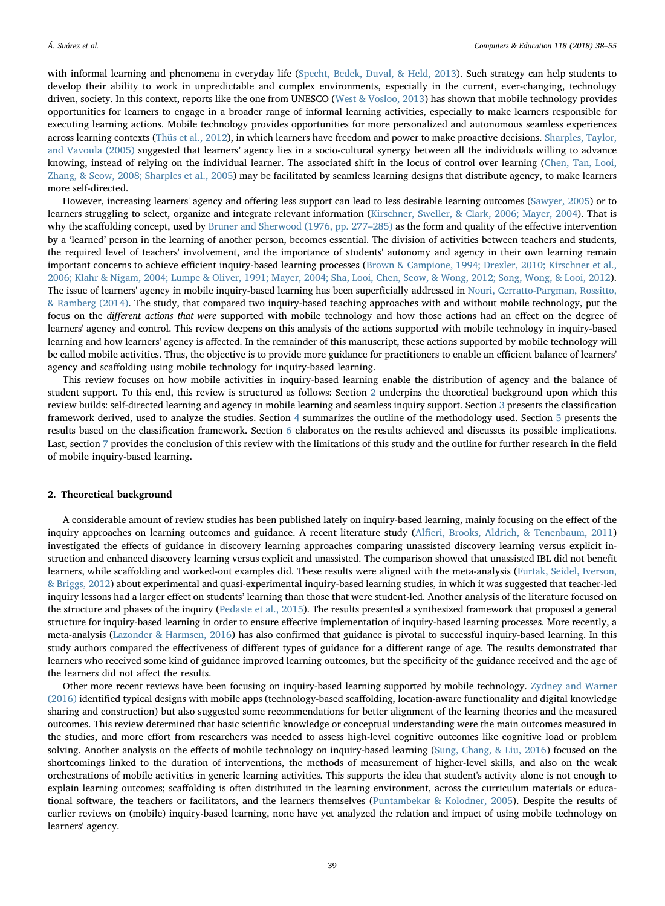with informal learning and phenomena in everyday life ([Specht, Bedek, Duval, & Held, 2013\)](#page-17-0). Such strategy can help students to develop their ability to work in unpredictable and complex environments, especially in the current, ever-changing, technology driven, society. In this context, reports like the one from UNESCO ([West & Vosloo, 2013\)](#page-17-1) has shown that mobile technology provides opportunities for learners to engage in a broader range of informal learning activities, especially to make learners responsible for executing learning actions. Mobile technology provides opportunities for more personalized and autonomous seamless experiences across learning contexts ([Thüs et al., 2012](#page-17-2)), in which learners have freedom and power to make proactive decisions. [Sharples, Taylor,](#page-17-3) [and Vavoula \(2005\)](#page-17-3) suggested that learners' agency lies in a socio-cultural synergy between all the individuals willing to advance knowing, instead of relying on the individual learner. The associated shift in the locus of control over learning ([Chen, Tan, Looi,](#page-15-1) [Zhang, & Seow, 2008; Sharples et al., 2005\)](#page-15-1) may be facilitated by seamless learning designs that distribute agency, to make learners more self-directed.

However, increasing learners' agency and offering less support can lead to less desirable learning outcomes ([Sawyer, 2005](#page-16-2)) or to learners struggling to select, organize and integrate relevant information ([Kirschner, Sweller, & Clark, 2006; Mayer, 2004\)](#page-15-2). That is why the scaffolding concept, used by [Bruner and Sherwood \(1976, pp. 277](#page-14-0)–285) as the form and quality of the effective intervention by a 'learned' person in the learning of another person, becomes essential. The division of activities between teachers and students, the required level of teachers' involvement, and the importance of students' autonomy and agency in their own learning remain important concerns to achieve efficient inquiry-based learning processes [\(Brown & Campione, 1994; Drexler, 2010; Kirschner et al.,](#page-14-1) [2006; Klahr & Nigam, 2004; Lumpe & Oliver, 1991; Mayer, 2004; Sha, Looi, Chen, Seow, & Wong, 2012; Song, Wong, & Looi, 2012](#page-14-1)). The issue of learners' agency in mobile inquiry-based learning has been superficially addressed in [Nouri, Cerratto-Pargman, Rossitto,](#page-16-3) [& Ramberg \(2014\)](#page-16-3). The study, that compared two inquiry-based teaching approaches with and without mobile technology, put the focus on the different actions that were supported with mobile technology and how those actions had an effect on the degree of learners' agency and control. This review deepens on this analysis of the actions supported with mobile technology in inquiry-based learning and how learners' agency is affected. In the remainder of this manuscript, these actions supported by mobile technology will be called mobile activities. Thus, the objective is to provide more guidance for practitioners to enable an efficient balance of learners' agency and scaffolding using mobile technology for inquiry-based learning.

This review focuses on how mobile activities in inquiry-based learning enable the distribution of agency and the balance of student support. To this end, this review is structured as follows: Section [2](#page-1-0) underpins the theoretical background upon which this review builds: self-directed learning and agency in mobile learning and seamless inquiry support. Section [3](#page-3-0) presents the classification framework derived, used to analyze the studies. Section [4](#page-3-1) summarizes the outline of the methodology used. Section [5](#page-4-0) presents the results based on the classification framework. Section [6](#page-9-0) elaborates on the results achieved and discusses its possible implications. Last, section [7](#page-10-0) provides the conclusion of this review with the limitations of this study and the outline for further research in the field of mobile inquiry-based learning.

## <span id="page-1-0"></span>2. Theoretical background

A considerable amount of review studies has been published lately on inquiry-based learning, mainly focusing on the effect of the inquiry approaches on learning outcomes and guidance. A recent literature study (Alfi[eri, Brooks, Aldrich, & Tenenbaum, 2011](#page-14-2)) investigated the effects of guidance in discovery learning approaches comparing unassisted discovery learning versus explicit instruction and enhanced discovery learning versus explicit and unassisted. The comparison showed that unassisted IBL did not benefit learners, while scaffolding and worked-out examples did. These results were aligned with the meta-analysis ([Furtak, Seidel, Iverson,](#page-15-3) [& Briggs, 2012](#page-15-3)) about experimental and quasi-experimental inquiry-based learning studies, in which it was suggested that teacher-led inquiry lessons had a larger effect on students' learning than those that were student-led. Another analysis of the literature focused on the structure and phases of the inquiry ([Pedaste et al., 2015](#page-16-4)). The results presented a synthesized framework that proposed a general structure for inquiry-based learning in order to ensure effective implementation of inquiry-based learning processes. More recently, a meta-analysis ([Lazonder & Harmsen, 2016\)](#page-16-5) has also confirmed that guidance is pivotal to successful inquiry-based learning. In this study authors compared the effectiveness of different types of guidance for a different range of age. The results demonstrated that learners who received some kind of guidance improved learning outcomes, but the specificity of the guidance received and the age of the learners did not affect the results.

Other more recent reviews have been focusing on inquiry-based learning supported by mobile technology. [Zydney and Warner](#page-17-4) [\(2016\)](#page-17-4) identified typical designs with mobile apps (technology-based scaffolding, location-aware functionality and digital knowledge sharing and construction) but also suggested some recommendations for better alignment of the learning theories and the measured outcomes. This review determined that basic scientific knowledge or conceptual understanding were the main outcomes measured in the studies, and more effort from researchers was needed to assess high-level cognitive outcomes like cognitive load or problem solving. Another analysis on the effects of mobile technology on inquiry-based learning [\(Sung, Chang, & Liu, 2016\)](#page-17-5) focused on the shortcomings linked to the duration of interventions, the methods of measurement of higher-level skills, and also on the weak orchestrations of mobile activities in generic learning activities. This supports the idea that student's activity alone is not enough to explain learning outcomes; scaffolding is often distributed in the learning environment, across the curriculum materials or educational software, the teachers or facilitators, and the learners themselves ([Puntambekar & Kolodner, 2005\)](#page-16-6). Despite the results of earlier reviews on (mobile) inquiry-based learning, none have yet analyzed the relation and impact of using mobile technology on learners' agency.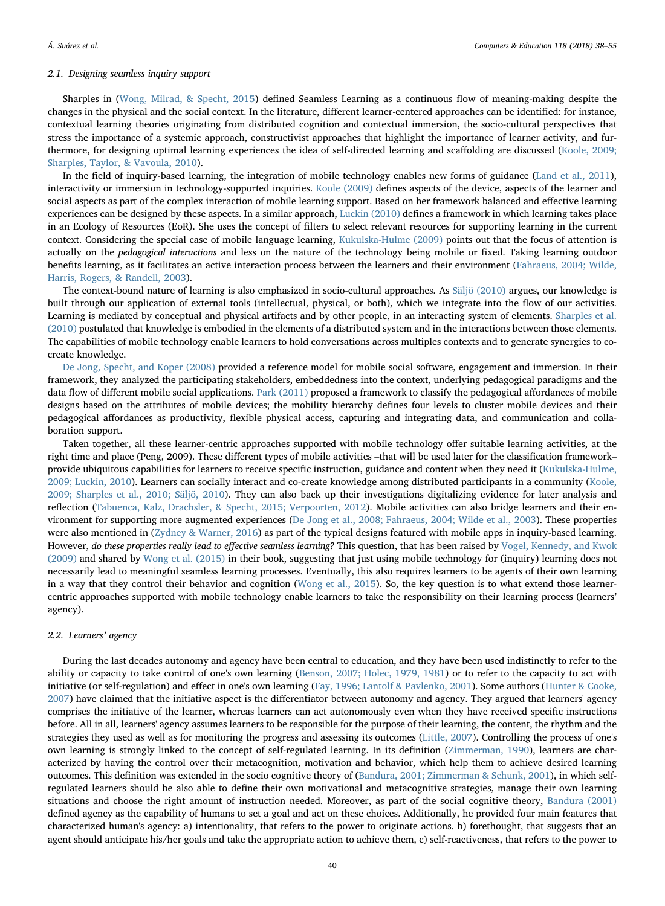#### <span id="page-2-0"></span>2.1. Designing seamless inquiry support

Sharples in ([Wong, Milrad, & Specht, 2015\)](#page-17-6) defined Seamless Learning as a continuous flow of meaning-making despite the changes in the physical and the social context. In the literature, different learner-centered approaches can be identified: for instance, contextual learning theories originating from distributed cognition and contextual immersion, the socio-cultural perspectives that stress the importance of a systemic approach, constructivist approaches that highlight the importance of learner activity, and furthermore, for designing optimal learning experiences the idea of self-directed learning and scaffolding are discussed [\(Koole, 2009;](#page-15-4) [Sharples, Taylor, & Vavoula, 2010](#page-15-4)).

In the field of inquiry-based learning, the integration of mobile technology enables new forms of guidance ([Land et al., 2011\)](#page-16-7), interactivity or immersion in technology-supported inquiries. [Koole \(2009\)](#page-15-4) defines aspects of the device, aspects of the learner and social aspects as part of the complex interaction of mobile learning support. Based on her framework balanced and effective learning experiences can be designed by these aspects. In a similar approach, [Luckin \(2010\)](#page-16-8) defines a framework in which learning takes place in an Ecology of Resources (EoR). She uses the concept of filters to select relevant resources for supporting learning in the current context. Considering the special case of mobile language learning, [Kukulska-Hulme \(2009\)](#page-15-5) points out that the focus of attention is actually on the pedagogical interactions and less on the nature of the technology being mobile or fixed. Taking learning outdoor benefits learning, as it facilitates an active interaction process between the learners and their environment [\(Fahraeus, 2004; Wilde,](#page-15-6) [Harris, Rogers, & Randell, 2003](#page-15-6)).

The context-bound nature of learning is also emphasized in socio-cultural approaches. As [Säljö \(2010\)](#page-16-9) argues, our knowledge is built through our application of external tools (intellectual, physical, or both), which we integrate into the flow of our activities. Learning is mediated by conceptual and physical artifacts and by other people, in an interacting system of elements. [Sharples et al.](#page-17-7) [\(2010\)](#page-17-7) postulated that knowledge is embodied in the elements of a distributed system and in the interactions between those elements. The capabilities of mobile technology enable learners to hold conversations across multiples contexts and to generate synergies to cocreate knowledge.

[De Jong, Specht, and Koper \(2008\)](#page-15-7) provided a reference model for mobile social software, engagement and immersion. In their framework, they analyzed the participating stakeholders, embeddedness into the context, underlying pedagogical paradigms and the data flow of different mobile social applications. [Park \(2011\)](#page-16-10) proposed a framework to classify the pedagogical affordances of mobile designs based on the attributes of mobile devices; the mobility hierarchy defines four levels to cluster mobile devices and their pedagogical affordances as productivity, flexible physical access, capturing and integrating data, and communication and collaboration support.

Taken together, all these learner-centric approaches supported with mobile technology offer suitable learning activities, at the right time and place (Peng, 2009). These different types of mobile activities –that will be used later for the classification framework– provide ubiquitous capabilities for learners to receive specific instruction, guidance and content when they need it ([Kukulska-Hulme,](#page-15-5) [2009; Luckin, 2010\)](#page-15-5). Learners can socially interact and co-create knowledge among distributed participants in a community ([Koole,](#page-15-4) [2009; Sharples et al., 2010; Säljö, 2010\)](#page-15-4). They can also back up their investigations digitalizing evidence for later analysis and reflection [\(Tabuenca, Kalz, Drachsler, & Specht, 2015; Verpoorten, 2012\)](#page-17-8). Mobile activities can also bridge learners and their environment for supporting more augmented experiences ([De Jong et al., 2008; Fahraeus, 2004; Wilde et al., 2003](#page-15-7)). These properties were also mentioned in ([Zydney & Warner, 2016](#page-17-4)) as part of the typical designs featured with mobile apps in inquiry-based learning. However, do these properties really lead to effective seamless learning? This question, that has been raised by [Vogel, Kennedy, and Kwok](#page-17-9) [\(2009\)](#page-17-9) and shared by [Wong et al. \(2015\)](#page-17-6) in their book, suggesting that just using mobile technology for (inquiry) learning does not necessarily lead to meaningful seamless learning processes. Eventually, this also requires learners to be agents of their own learning in a way that they control their behavior and cognition ([Wong et al., 2015\)](#page-17-6). So, the key question is to what extend those learnercentric approaches supported with mobile technology enable learners to take the responsibility on their learning process (learners' agency).

#### 2.2. Learners' agency

During the last decades autonomy and agency have been central to education, and they have been used indistinctly to refer to the ability or capacity to take control of one's own learning [\(Benson, 2007; Holec, 1979, 1981\)](#page-14-3) or to refer to the capacity to act with initiative (or self-regulation) and effect in one's own learning ([Fay, 1996; Lantolf & Pavlenko, 2001](#page-15-8)). Some authors ([Hunter & Cooke,](#page-15-9) [2007\)](#page-15-9) have claimed that the initiative aspect is the differentiator between autonomy and agency. They argued that learners' agency comprises the initiative of the learner, whereas learners can act autonomously even when they have received specific instructions before. All in all, learners' agency assumes learners to be responsible for the purpose of their learning, the content, the rhythm and the strategies they used as well as for monitoring the progress and assessing its outcomes [\(Little, 2007\)](#page-16-11). Controlling the process of one's own learning is strongly linked to the concept of self-regulated learning. In its definition [\(Zimmerman, 1990](#page-17-10)), learners are characterized by having the control over their metacognition, motivation and behavior, which help them to achieve desired learning outcomes. This definition was extended in the socio cognitive theory of ([Bandura, 2001; Zimmerman & Schunk, 2001\)](#page-14-4), in which selfregulated learners should be also able to define their own motivational and metacognitive strategies, manage their own learning situations and choose the right amount of instruction needed. Moreover, as part of the social cognitive theory, [Bandura \(2001\)](#page-14-4) defined agency as the capability of humans to set a goal and act on these choices. Additionally, he provided four main features that characterized human's agency: a) intentionality, that refers to the power to originate actions. b) forethought, that suggests that an agent should anticipate his/her goals and take the appropriate action to achieve them, c) self-reactiveness, that refers to the power to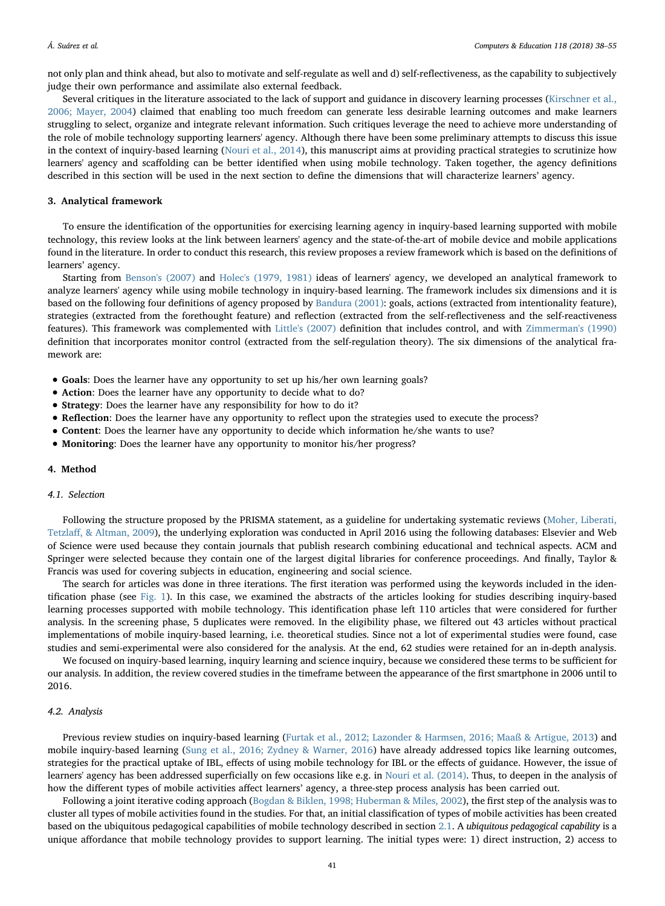not only plan and think ahead, but also to motivate and self-regulate as well and d) self-reflectiveness, as the capability to subjectively judge their own performance and assimilate also external feedback.

Several critiques in the literature associated to the lack of support and guidance in discovery learning processes ([Kirschner et al.,](#page-15-2) [2006; Mayer, 2004\)](#page-15-2) claimed that enabling too much freedom can generate less desirable learning outcomes and make learners struggling to select, organize and integrate relevant information. Such critiques leverage the need to achieve more understanding of the role of mobile technology supporting learners' agency. Although there have been some preliminary attempts to discuss this issue in the context of inquiry-based learning [\(Nouri et al., 2014\)](#page-16-3), this manuscript aims at providing practical strategies to scrutinize how learners' agency and scaffolding can be better identified when using mobile technology. Taken together, the agency definitions described in this section will be used in the next section to define the dimensions that will characterize learners' agency.

#### <span id="page-3-0"></span>3. Analytical framework

To ensure the identification of the opportunities for exercising learning agency in inquiry-based learning supported with mobile technology, this review looks at the link between learners' agency and the state-of-the-art of mobile device and mobile applications found in the literature. In order to conduct this research, this review proposes a review framework which is based on the definitions of learners' agency.

Starting from [Benson's \(2007\)](#page-14-3) and [Holec's \(1979, 1981\)](#page-15-10) ideas of learners' agency, we developed an analytical framework to analyze learners' agency while using mobile technology in inquiry-based learning. The framework includes six dimensions and it is based on the following four definitions of agency proposed by [Bandura \(2001\)](#page-14-4): goals, actions (extracted from intentionality feature), strategies (extracted from the forethought feature) and reflection (extracted from the self-reflectiveness and the self-reactiveness features). This framework was complemented with [Little's \(2007\)](#page-16-11) definition that includes control, and with [Zimmerman's \(1990\)](#page-17-10) definition that incorporates monitor control (extracted from the self-regulation theory). The six dimensions of the analytical framework are:

- Goals: Does the learner have any opportunity to set up his/her own learning goals?
- Action: Does the learner have any opportunity to decide what to do?
- Strategy: Does the learner have any responsibility for how to do it?
- Reflection: Does the learner have any opportunity to reflect upon the strategies used to execute the process?
- Content: Does the learner have any opportunity to decide which information he/she wants to use?
- Monitoring: Does the learner have any opportunity to monitor his/her progress?

## <span id="page-3-1"></span>4. Method

## 4.1. Selection

Following the structure proposed by the PRISMA statement, as a guideline for undertaking systematic reviews [\(Moher, Liberati,](#page-16-12) Tetzlaff[, & Altman, 2009](#page-16-12)), the underlying exploration was conducted in April 2016 using the following databases: Elsevier and Web of Science were used because they contain journals that publish research combining educational and technical aspects. ACM and Springer were selected because they contain one of the largest digital libraries for conference proceedings. And finally, Taylor & Francis was used for covering subjects in education, engineering and social science.

The search for articles was done in three iterations. The first iteration was performed using the keywords included in the identification phase (see [Fig. 1](#page-4-1)). In this case, we examined the abstracts of the articles looking for studies describing inquiry-based learning processes supported with mobile technology. This identification phase left 110 articles that were considered for further analysis. In the screening phase, 5 duplicates were removed. In the eligibility phase, we filtered out 43 articles without practical implementations of mobile inquiry-based learning, i.e. theoretical studies. Since not a lot of experimental studies were found, case studies and semi-experimental were also considered for the analysis. At the end, 62 studies were retained for an in-depth analysis.

We focused on inquiry-based learning, inquiry learning and science inquiry, because we considered these terms to be sufficient for our analysis. In addition, the review covered studies in the timeframe between the appearance of the first smartphone in 2006 until to 2016.

#### 4.2. Analysis

Previous review studies on inquiry-based learning [\(Furtak et al., 2012; Lazonder & Harmsen, 2016; Maaß & Artigue, 2013\)](#page-15-3) and mobile inquiry-based learning [\(Sung et al., 2016; Zydney & Warner, 2016\)](#page-17-5) have already addressed topics like learning outcomes, strategies for the practical uptake of IBL, effects of using mobile technology for IBL or the effects of guidance. However, the issue of learners' agency has been addressed superficially on few occasions like e.g. in [Nouri et al. \(2014\).](#page-16-3) Thus, to deepen in the analysis of how the different types of mobile activities affect learners' agency, a three-step process analysis has been carried out.

Following a joint iterative coding approach [\(Bogdan & Biklen, 1998; Huberman & Miles, 2002\)](#page-14-5), the first step of the analysis was to cluster all types of mobile activities found in the studies. For that, an initial classification of types of mobile activities has been created based on the ubiquitous pedagogical capabilities of mobile technology described in section [2.1](#page-2-0). A ubiquitous pedagogical capability is a unique affordance that mobile technology provides to support learning. The initial types were: 1) direct instruction, 2) access to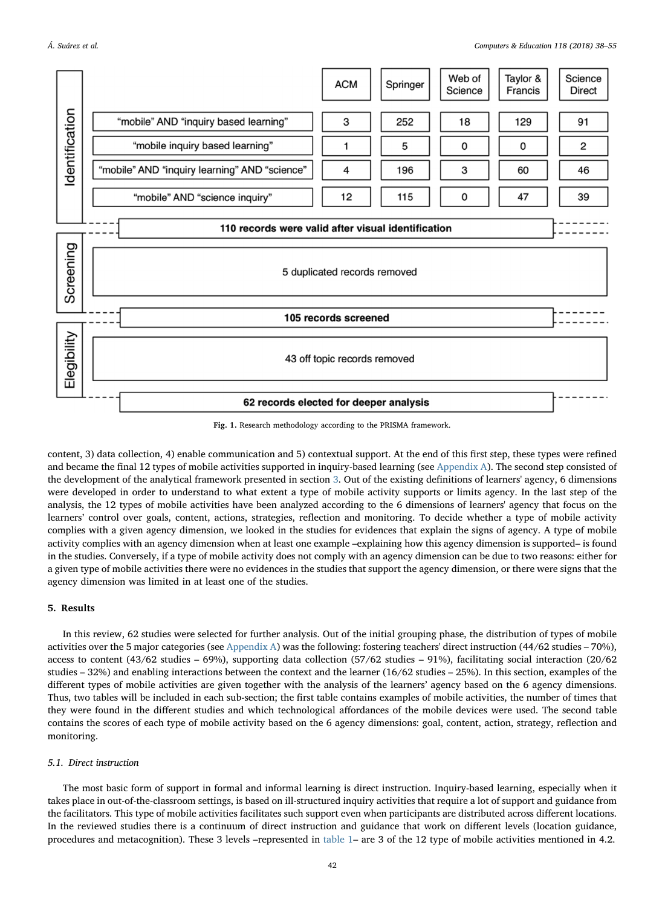<span id="page-4-1"></span>

Fig. 1. Research methodology according to the PRISMA framework.

content, 3) data collection, 4) enable communication and 5) contextual support. At the end of this first step, these types were refined and became the final 12 types of mobile activities supported in inquiry-based learning (see [Appendix A\)](#page-11-0). The second step consisted of the development of the analytical framework presented in section [3](#page-3-0). Out of the existing definitions of learners' agency, 6 dimensions were developed in order to understand to what extent a type of mobile activity supports or limits agency. In the last step of the analysis, the 12 types of mobile activities have been analyzed according to the 6 dimensions of learners' agency that focus on the learners' control over goals, content, actions, strategies, reflection and monitoring. To decide whether a type of mobile activity complies with a given agency dimension, we looked in the studies for evidences that explain the signs of agency. A type of mobile activity complies with an agency dimension when at least one example –explaining how this agency dimension is supported– is found in the studies. Conversely, if a type of mobile activity does not comply with an agency dimension can be due to two reasons: either for a given type of mobile activities there were no evidences in the studies that support the agency dimension, or there were signs that the agency dimension was limited in at least one of the studies.

## <span id="page-4-0"></span>5. Results

In this review, 62 studies were selected for further analysis. Out of the initial grouping phase, the distribution of types of mobile activities over the 5 major categories (see [Appendix A\)](#page-11-0) was the following: fostering teachers' direct instruction (44/62 studies – 70%), access to content (43/62 studies – 69%), supporting data collection (57/62 studies – 91%), facilitating social interaction (20/62 studies – 32%) and enabling interactions between the context and the learner (16/62 studies – 25%). In this section, examples of the different types of mobile activities are given together with the analysis of the learners' agency based on the 6 agency dimensions. Thus, two tables will be included in each sub-section; the first table contains examples of mobile activities, the number of times that they were found in the different studies and which technological affordances of the mobile devices were used. The second table contains the scores of each type of mobile activity based on the 6 agency dimensions: goal, content, action, strategy, reflection and monitoring.

### 5.1. Direct instruction

The most basic form of support in formal and informal learning is direct instruction. Inquiry-based learning, especially when it takes place in out-of-the-classroom settings, is based on ill-structured inquiry activities that require a lot of support and guidance from the facilitators. This type of mobile activities facilitates such support even when participants are distributed across different locations. In the reviewed studies there is a continuum of direct instruction and guidance that work on different levels (location guidance, procedures and metacognition). These 3 levels –represented in [table 1](#page-5-0)– are 3 of the 12 type of mobile activities mentioned in 4.2.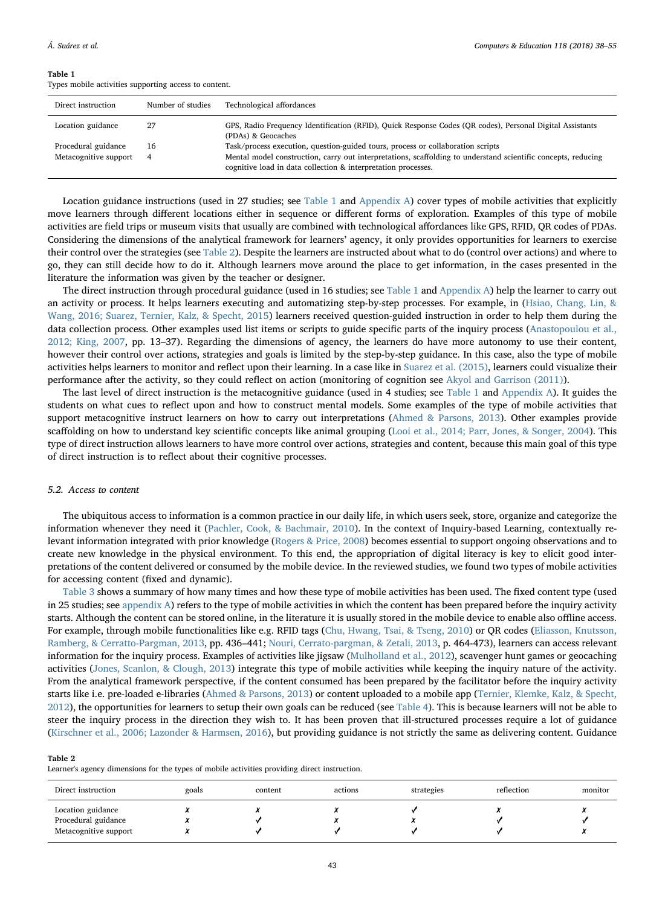<span id="page-5-0"></span>

| Table 1 |  |                                                       |  |  |
|---------|--|-------------------------------------------------------|--|--|
|         |  | Types mobile activities supporting access to content. |  |  |

| Direct instruction    | Number of studies | Technological affordances                                                                                                                                                      |
|-----------------------|-------------------|--------------------------------------------------------------------------------------------------------------------------------------------------------------------------------|
| Location guidance     |                   | GPS, Radio Frequency Identification (RFID), Quick Response Codes (QR codes), Personal Digital Assistants<br>(PDAs) & Geocaches                                                 |
| Procedural guidance   | 16                | Task/process execution, question-guided tours, process or collaboration scripts                                                                                                |
| Metacognitive support |                   | Mental model construction, carry out interpretations, scaffolding to understand scientific concepts, reducing<br>cognitive load in data collection & interpretation processes. |

Location guidance instructions (used in 27 studies; see [Table 1](#page-5-0) and [Appendix A](#page-11-0)) cover types of mobile activities that explicitly move learners through different locations either in sequence or different forms of exploration. Examples of this type of mobile activities are field trips or museum visits that usually are combined with technological affordances like GPS, RFID, QR codes of PDAs. Considering the dimensions of the analytical framework for learners' agency, it only provides opportunities for learners to exercise their control over the strategies (see [Table 2](#page-5-1)). Despite the learners are instructed about what to do (control over actions) and where to go, they can still decide how to do it. Although learners move around the place to get information, in the cases presented in the literature the information was given by the teacher or designer.

The direct instruction through procedural guidance (used in 16 studies; see [Table 1](#page-5-0) and [Appendix A](#page-11-0)) help the learner to carry out an activity or process. It helps learners executing and automatizing step-by-step processes. For example, in ([Hsiao, Chang, Lin, &](#page-15-11) [Wang, 2016; Suarez, Ternier, Kalz, & Specht, 2015](#page-15-11)) learners received question-guided instruction in order to help them during the data collection process. Other examples used list items or scripts to guide specific parts of the inquiry process ([Anastopoulou et al.,](#page-14-6) [2012; King, 2007](#page-14-6), pp. 13–37). Regarding the dimensions of agency, the learners do have more autonomy to use their content, however their control over actions, strategies and goals is limited by the step-by-step guidance. In this case, also the type of mobile activities helps learners to monitor and reflect upon their learning. In a case like in [Suarez et al. \(2015\),](#page-17-11) learners could visualize their performance after the activity, so they could reflect on action (monitoring of cognition see [Akyol and Garrison \(2011\)](#page-14-7)).

The last level of direct instruction is the metacognitive guidance (used in 4 studies; see [Table 1](#page-5-0) and [Appendix A\)](#page-11-0). It guides the students on what cues to reflect upon and how to construct mental models. Some examples of the type of mobile activities that support metacognitive instruct learners on how to carry out interpretations [\(Ahmed & Parsons, 2013\)](#page-14-8). Other examples provide scaffolding on how to understand key scientific concepts like animal grouping [\(Looi et al., 2014; Parr, Jones, & Songer, 2004\)](#page-16-13). This type of direct instruction allows learners to have more control over actions, strategies and content, because this main goal of this type of direct instruction is to reflect about their cognitive processes.

## 5.2. Access to content

The ubiquitous access to information is a common practice in our daily life, in which users seek, store, organize and categorize the information whenever they need it [\(Pachler, Cook, & Bachmair, 2010](#page-16-14)). In the context of Inquiry-based Learning, contextually relevant information integrated with prior knowledge [\(Rogers & Price, 2008\)](#page-16-15) becomes essential to support ongoing observations and to create new knowledge in the physical environment. To this end, the appropriation of digital literacy is key to elicit good interpretations of the content delivered or consumed by the mobile device. In the reviewed studies, we found two types of mobile activities for accessing content (fixed and dynamic).

[Table 3](#page-6-0) shows a summary of how many times and how these type of mobile activities has been used. The fixed content type (used in 25 studies; see [appendix A\)](#page-11-0) refers to the type of mobile activities in which the content has been prepared before the inquiry activity starts. Although the content can be stored online, in the literature it is usually stored in the mobile device to enable also offline access. For example, through mobile functionalities like e.g. RFID tags [\(Chu, Hwang, Tsai, & Tseng, 2010](#page-15-12)) or QR codes ([Eliasson, Knutsson,](#page-15-13) [Ramberg, & Cerratto-Pargman, 2013](#page-15-13), pp. 436–441; Nouri, [Cerrato-pargman, & Zetali, 2013,](#page-16-16) p. 464-473), learners can access relevant information for the inquiry process. Examples of activities like jigsaw [\(Mulholland et al., 2012](#page-16-17)), scavenger hunt games or geocaching activities [\(Jones, Scanlon, & Clough, 2013](#page-15-14)) integrate this type of mobile activities while keeping the inquiry nature of the activity. From the analytical framework perspective, if the content consumed has been prepared by the facilitator before the inquiry activity starts like i.e. pre-loaded e-libraries ([Ahmed & Parsons, 2013](#page-14-8)) or content uploaded to a mobile app [\(Ternier, Klemke, Kalz, & Specht,](#page-17-12) [2012\)](#page-17-12), the opportunities for learners to setup their own goals can be reduced (see [Table 4\)](#page-6-1). This is because learners will not be able to steer the inquiry process in the direction they wish to. It has been proven that ill-structured processes require a lot of guidance ([Kirschner et al., 2006; Lazonder & Harmsen, 2016](#page-15-2)), but providing guidance is not strictly the same as delivering content. Guidance

#### <span id="page-5-1"></span>Table 2

Learner's agency dimensions for the types of mobile activities providing direct instruction.

| Direct instruction                                                | goals | content | actions | strategies | reflection | monitor |
|-------------------------------------------------------------------|-------|---------|---------|------------|------------|---------|
| Location guidance<br>Procedural guidance<br>Metacognitive support |       |         |         |            |            |         |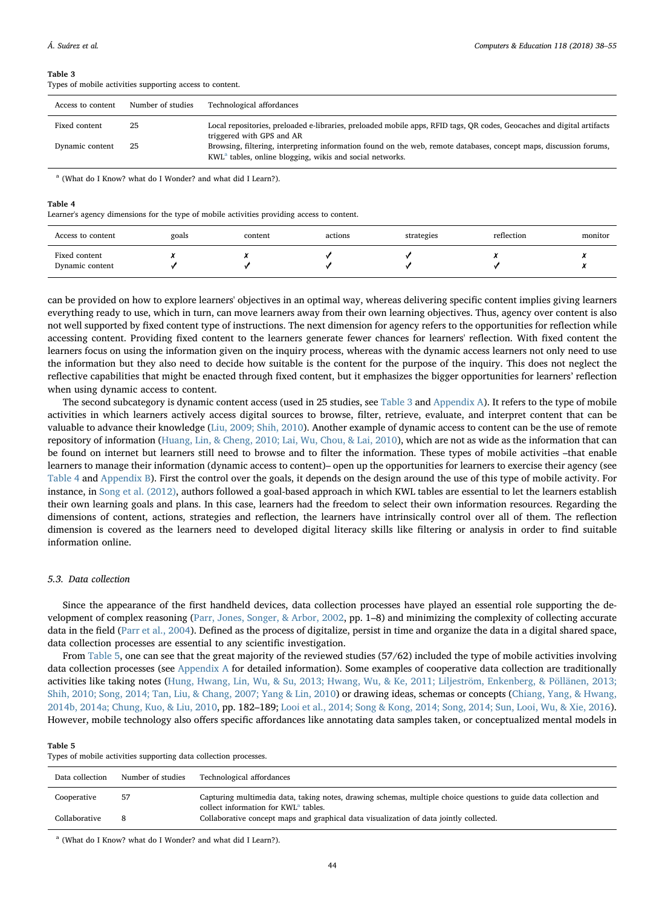<span id="page-6-0"></span>Types of mobile activities supporting access to content.

| Access to content | Number of studies | Technological affordances                                                                                                                                                                  |
|-------------------|-------------------|--------------------------------------------------------------------------------------------------------------------------------------------------------------------------------------------|
| Fixed content     | 25                | Local repositories, preloaded e-libraries, preloaded mobile apps, RFID tags, QR codes, Geocaches and digital artifacts<br>triggered with GPS and AR                                        |
| Dynamic content   | 25                | Browsing, filtering, interpreting information found on the web, remote databases, concept maps, discussion forums,<br>KWL <sup>a</sup> tables, online blogging, wikis and social networks. |

<span id="page-6-3"></span><sup>a</sup> (What do I Know? what do I Wonder? and what did I Learn?).

#### <span id="page-6-1"></span>Table 4

Learner's agency dimensions for the type of mobile activities providing access to content.

| Access to content                | goals | content | actions | strategies | reflection | monitor |
|----------------------------------|-------|---------|---------|------------|------------|---------|
| Fixed content<br>Dynamic content |       |         |         |            |            |         |

can be provided on how to explore learners' objectives in an optimal way, whereas delivering specific content implies giving learners everything ready to use, which in turn, can move learners away from their own learning objectives. Thus, agency over content is also not well supported by fixed content type of instructions. The next dimension for agency refers to the opportunities for reflection while accessing content. Providing fixed content to the learners generate fewer chances for learners' reflection. With fixed content the learners focus on using the information given on the inquiry process, whereas with the dynamic access learners not only need to use the information but they also need to decide how suitable is the content for the purpose of the inquiry. This does not neglect the reflective capabilities that might be enacted through fixed content, but it emphasizes the bigger opportunities for learners' reflection when using dynamic access to content.

The second subcategory is dynamic content access (used in 25 studies, see [Table 3](#page-6-0) and [Appendix A](#page-11-0)). It refers to the type of mobile activities in which learners actively access digital sources to browse, filter, retrieve, evaluate, and interpret content that can be valuable to advance their knowledge ([Liu, 2009; Shih, 2010](#page-16-18)). Another example of dynamic access to content can be the use of remote repository of information [\(Huang, Lin, & Cheng, 2010; Lai, Wu, Chou, & Lai, 2010](#page-15-15)), which are not as wide as the information that can be found on internet but learners still need to browse and to filter the information. These types of mobile activities –that enable learners to manage their information (dynamic access to content)– open up the opportunities for learners to exercise their agency (see [Table 4](#page-6-1) and [Appendix B](#page-14-9)). First the control over the goals, it depends on the design around the use of this type of mobile activity. For instance, in [Song et al. \(2012\)](#page-17-13), authors followed a goal-based approach in which KWL tables are essential to let the learners establish their own learning goals and plans. In this case, learners had the freedom to select their own information resources. Regarding the dimensions of content, actions, strategies and reflection, the learners have intrinsically control over all of them. The reflection dimension is covered as the learners need to developed digital literacy skills like filtering or analysis in order to find suitable information online.

#### 5.3. Data collection

Since the appearance of the first handheld devices, data collection processes have played an essential role supporting the development of complex reasoning ([Parr, Jones, Songer, & Arbor, 2002,](#page-16-19) pp. 1–8) and minimizing the complexity of collecting accurate data in the field [\(Parr et al., 2004\)](#page-16-20). Defined as the process of digitalize, persist in time and organize the data in a digital shared space, data collection processes are essential to any scientific investigation.

From [Table 5](#page-6-2), one can see that the great majority of the reviewed studies (57/62) included the type of mobile activities involving data collection processes (see [Appendix A](#page-11-0) for detailed information). Some examples of cooperative data collection are traditionally activities like taking notes ([Hung, Hwang, Lin, Wu, & Su, 2013; Hwang, Wu, & Ke, 2011; Liljeström, Enkenberg, & Pöllänen, 2013;](#page-15-16) [Shih, 2010; Song, 2014; Tan, Liu, & Chang, 2007; Yang & Lin, 2010](#page-15-16)) or drawing ideas, schemas or concepts [\(Chiang, Yang, & Hwang,](#page-15-17) [2014b, 2014a; Chung, Kuo, & Liu, 2010,](#page-15-17) pp. 182–189; Looi [et al., 2014; Song & Kong, 2014; Song, 2014; Sun, Looi, Wu, & Xie, 2016](#page-16-13)). However, mobile technology also offers specific affordances like annotating data samples taken, or conceptualized mental models in

#### <span id="page-6-2"></span>Table 5

Types of mobile activities supporting data collection processes.

| Data collection | Number of studies | Technological affordances                                                                                                                                            |
|-----------------|-------------------|----------------------------------------------------------------------------------------------------------------------------------------------------------------------|
| Cooperative     | 57                | Capturing multimedia data, taking notes, drawing schemas, multiple choice questions to guide data collection and<br>collect information for KWL <sup>a</sup> tables. |
| Collaborative   |                   | Collaborative concept maps and graphical data visualization of data jointly collected.                                                                               |

<span id="page-6-4"></span><sup>a</sup> (What do I Know? what do I Wonder? and what did I Learn?).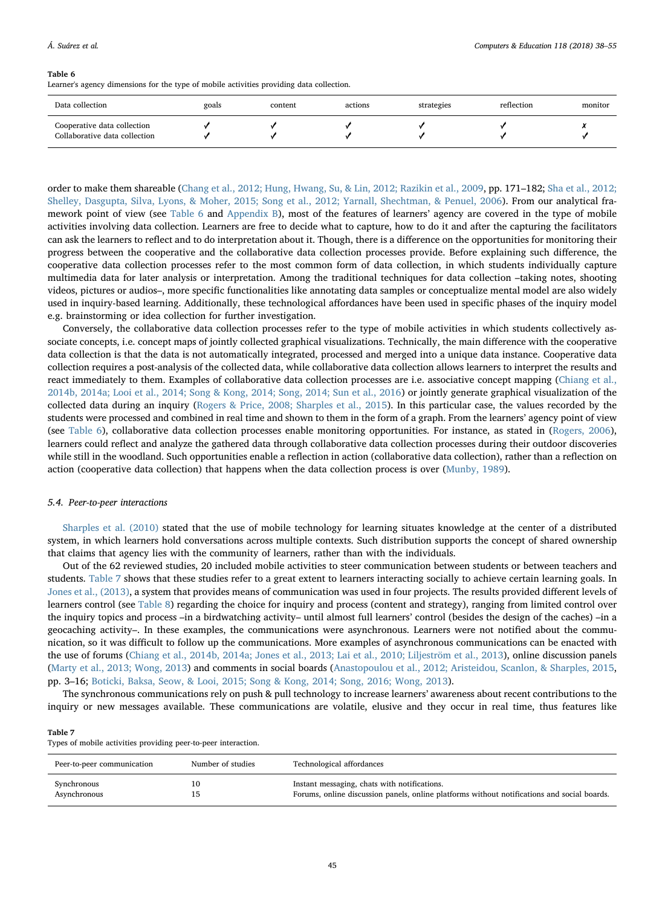<span id="page-7-0"></span>Learner's agency dimensions for the type of mobile activities providing data collection.

| Data collection                                              | goals | content | actions | strategies | reflection | monitor |
|--------------------------------------------------------------|-------|---------|---------|------------|------------|---------|
| Cooperative data collection<br>Collaborative data collection |       |         |         |            |            |         |

order to make them shareable ([Chang et al., 2012; Hung, Hwang, Su, & Lin, 2012; Razikin et al., 2009](#page-15-18), pp. 171–182; [Sha et al., 2012;](#page-16-21) [Shelley, Dasgupta, Silva, Lyons, & Moher, 2015; Song et al., 2012; Yarnall, Shechtman, & Penuel, 2006](#page-16-21)). From our analytical framework point of view (see [Table 6](#page-7-0) and [Appendix B\)](#page-11-0), most of the features of learners' agency are covered in the type of mobile activities involving data collection. Learners are free to decide what to capture, how to do it and after the capturing the facilitators can ask the learners to reflect and to do interpretation about it. Though, there is a difference on the opportunities for monitoring their progress between the cooperative and the collaborative data collection processes provide. Before explaining such difference, the cooperative data collection processes refer to the most common form of data collection, in which students individually capture multimedia data for later analysis or interpretation. Among the traditional techniques for data collection –taking notes, shooting videos, pictures or audios–, more specific functionalities like annotating data samples or conceptualize mental model are also widely used in inquiry-based learning. Additionally, these technological affordances have been used in specific phases of the inquiry model e.g. brainstorming or idea collection for further investigation.

Conversely, the collaborative data collection processes refer to the type of mobile activities in which students collectively associate concepts, i.e. concept maps of jointly collected graphical visualizations. Technically, the main difference with the cooperative data collection is that the data is not automatically integrated, processed and merged into a unique data instance. Cooperative data collection requires a post-analysis of the collected data, while collaborative data collection allows learners to interpret the results and react immediately to them. Examples of collaborative data collection processes are i.e. associative concept mapping ([Chiang et al.,](#page-15-17) [2014b, 2014a; Looi et al., 2014; Song & Kong, 2014; Song, 2014; Sun et al., 2016\)](#page-15-17) or jointly generate graphical visualization of the collected data during an inquiry [\(Rogers & Price, 2008; Sharples et al., 2015](#page-16-15)). In this particular case, the values recorded by the students were processed and combined in real time and shown to them in the form of a graph. From the learners' agency point of view (see [Table 6\)](#page-7-0), collaborative data collection processes enable monitoring opportunities. For instance, as stated in ([Rogers, 2006\)](#page-16-22), learners could reflect and analyze the gathered data through collaborative data collection processes during their outdoor discoveries while still in the woodland. Such opportunities enable a reflection in action (collaborative data collection), rather than a reflection on action (cooperative data collection) that happens when the data collection process is over [\(Munby, 1989\)](#page-16-23).

#### 5.4. Peer-to-peer interactions

[Sharples et al. \(2010\)](#page-17-7) stated that the use of mobile technology for learning situates knowledge at the center of a distributed system, in which learners hold conversations across multiple contexts. Such distribution supports the concept of shared ownership that claims that agency lies with the community of learners, rather than with the individuals.

Out of the 62 reviewed studies, 20 included mobile activities to steer communication between students or between teachers and students. [Table 7](#page-7-1) shows that these studies refer to a great extent to learners interacting socially to achieve certain learning goals. In [Jones et al., \(2013\)](#page-15-14), a system that provides means of communication was used in four projects. The results provided different levels of learners control (see [Table 8\)](#page-8-0) regarding the choice for inquiry and process (content and strategy), ranging from limited control over the inquiry topics and process –in a birdwatching activity– until almost full learners' control (besides the design of the caches) –in a geocaching activity–. In these examples, the communications were asynchronous. Learners were not notified about the communication, so it was difficult to follow up the communications. More examples of asynchronous communications can be enacted with the use of forums ([Chiang et al., 2014b, 2014a; Jones et al., 2013; Lai et al., 2010; Liljeström et al., 2013](#page-15-17)), online discussion panels ([Marty et al., 2013; Wong, 2013](#page-16-24)) and comments in social boards [\(Anastopoulou et al., 2012; Aristeidou, Scanlon, & Sharples, 2015,](#page-14-6) pp. 3–16; [Boticki, Baksa, Seow, & Looi, 2015; Song & Kong, 2014; Song, 2016; Wong, 2013\)](#page-14-10).

The synchronous communications rely on push & pull technology to increase learners' awareness about recent contributions to the inquiry or new messages available. These communications are volatile, elusive and they occur in real time, thus features like

#### <span id="page-7-1"></span>Table 7

Types of mobile activities providing peer-to-peer interaction.

| Peer-to-peer communication  | Number of studies | Technological affordances                                                                                                                   |
|-----------------------------|-------------------|---------------------------------------------------------------------------------------------------------------------------------------------|
| Synchronous<br>Asynchronous |                   | Instant messaging, chats with notifications.<br>Forums, online discussion panels, online platforms without notifications and social boards. |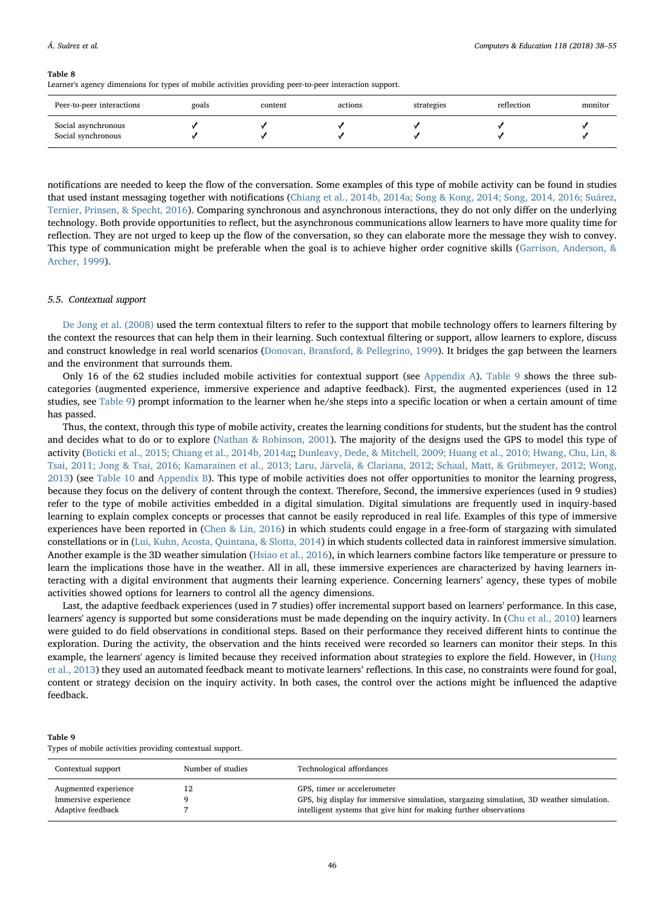<span id="page-8-0"></span>Learner's agency dimensions for types of mobile activities providing peer-to-peer interaction support.

| Peer-to-peer interactions                 | goals | content | actions | strategies | reflection | monitor |
|-------------------------------------------|-------|---------|---------|------------|------------|---------|
| Social asynchronous<br>Social synchronous |       |         |         |            |            |         |

notifications are needed to keep the flow of the conversation. Some examples of this type of mobile activity can be found in studies that used instant messaging together with notifications ([Chiang et al., 2014b, 2014a; Song & Kong, 2014; Song, 2014, 2016; Suárez,](#page-15-17) [Ternier, Prinsen, & Specht, 2016\)](#page-15-17). Comparing synchronous and asynchronous interactions, they do not only differ on the underlying technology. Both provide opportunities to reflect, but the asynchronous communications allow learners to have more quality time for reflection. They are not urged to keep up the flow of the conversation, so they can elaborate more the message they wish to convey. This type of communication might be preferable when the goal is to achieve higher order cognitive skills ([Garrison, Anderson, &](#page-15-19) [Archer, 1999\)](#page-15-19).

## 5.5. Contextual support

[De Jong et al. \(2008\)](#page-15-7) used the term contextual filters to refer to the support that mobile technology offers to learners filtering by the context the resources that can help them in their learning. Such contextual filtering or support, allow learners to explore, discuss and construct knowledge in real world scenarios ([Donovan, Bransford, & Pellegrino, 1999](#page-15-20)). It bridges the gap between the learners and the environment that surrounds them.

Only 16 of the 62 studies included mobile activities for contextual support (see [Appendix A\)](#page-11-0). [Table 9](#page-8-1) shows the three subcategories (augmented experience, immersive experience and adaptive feedback). First, the augmented experiences (used in 12 studies, see [Table 9\)](#page-8-1) prompt information to the learner when he/she steps into a specific location or when a certain amount of time has passed.

Thus, the context, through this type of mobile activity, creates the learning conditions for students, but the student has the control and decides what to do or to explore ([Nathan & Robinson, 2001\)](#page-16-25). The majority of the designs used the GPS to model this type of activity [\(Boticki et al., 2015; Chiang et al., 2014b, 2014a](#page-14-10);; [Dunleavy, Dede, & Mitchell, 2009; Huang et al., 2010; Hwang, Chu, Lin, &](#page-15-21) [Tsai, 2011; Jong & Tsai, 2016; Kamarainen et al., 2013; Laru, Järvelä, & Clariana, 2012; Schaal, Matt, & Grübmeyer, 2012; Wong,](#page-15-21) [2013\)](#page-15-21) (see [Table 10](#page-9-1) and [Appendix B](#page-14-9)). This type of mobile activities does not offer opportunities to monitor the learning progress, because they focus on the delivery of content through the context. Therefore, Second, the immersive experiences (used in 9 studies) refer to the type of mobile activities embedded in a digital simulation. Digital simulations are frequently used in inquiry-based learning to explain complex concepts or processes that cannot be easily reproduced in real life. Examples of this type of immersive experiences have been reported in [\(Chen & Lin, 2016](#page-15-22)) in which students could engage in a free-form of stargazing with simulated constellations or in [\(Lui, Kuhn, Acosta, Quintana, & Slotta, 2014](#page-16-26)) in which students collected data in rainforest immersive simulation. Another example is the 3D weather simulation [\(Hsiao et al., 2016\)](#page-15-11), in which learners combine factors like temperature or pressure to learn the implications those have in the weather. All in all, these immersive experiences are characterized by having learners interacting with a digital environment that augments their learning experience. Concerning learners' agency, these types of mobile activities showed options for learners to control all the agency dimensions.

Last, the adaptive feedback experiences (used in 7 studies) offer incremental support based on learners' performance. In this case, learners' agency is supported but some considerations must be made depending on the inquiry activity. In ([Chu et al., 2010\)](#page-15-12) learners were guided to do field observations in conditional steps. Based on their performance they received different hints to continue the exploration. During the activity, the observation and the hints received were recorded so learners can monitor their steps. In this example, the learners' agency is limited because they received information about strategies to explore the field. However, in [\(Hung](#page-15-16) et [al., 2013](#page-15-16)) they used an automated feedback meant to motivate learners' reflections. In this case, no constraints were found for goal, content or strategy decision on the inquiry activity. In both cases, the control over the actions might be influenced the adaptive feedback.

#### <span id="page-8-1"></span>Table 9

Types of mobile activities providing contextual support.

| Contextual support                                                | Number of studies | Technological affordances                                                                                                                                                                     |
|-------------------------------------------------------------------|-------------------|-----------------------------------------------------------------------------------------------------------------------------------------------------------------------------------------------|
| Augmented experience<br>Immersive experience<br>Adaptive feedback | 12                | GPS, timer or accelerometer<br>GPS, big display for immersive simulation, stargazing simulation, 3D weather simulation.<br>intelligent systems that give hint for making further observations |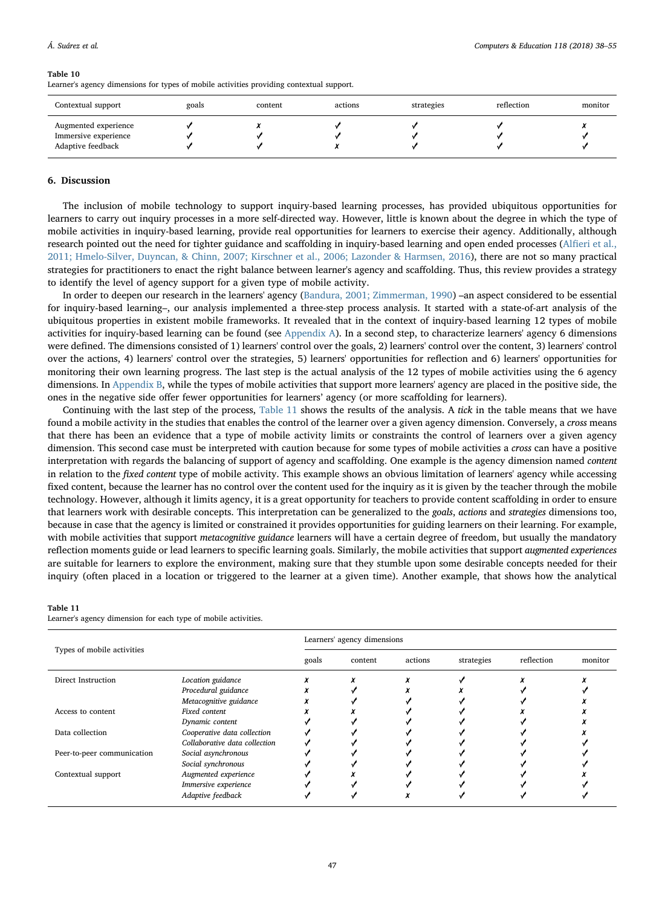<span id="page-9-1"></span>Learner's agency dimensions for types of mobile activities providing contextual support.

| Contextual support                                                | goals | content | actions | strategies | reflection | monitor |
|-------------------------------------------------------------------|-------|---------|---------|------------|------------|---------|
| Augmented experience<br>Immersive experience<br>Adaptive feedback |       |         |         |            |            |         |

## <span id="page-9-0"></span>6. Discussion

The inclusion of mobile technology to support inquiry-based learning processes, has provided ubiquitous opportunities for learners to carry out inquiry processes in a more self-directed way. However, little is known about the degree in which the type of mobile activities in inquiry-based learning, provide real opportunities for learners to exercise their agency. Additionally, although research pointed out the need for tighter guidance and scaffolding in inquiry-based learning and open ended processes (Alfi[eri et al.,](#page-14-2) [2011; Hmelo-Silver, Duyncan, & Chinn, 2007; Kirschner et al., 2006; Lazonder & Harmsen, 2016](#page-14-2)), there are not so many practical strategies for practitioners to enact the right balance between learner's agency and scaffolding. Thus, this review provides a strategy to identify the level of agency support for a given type of mobile activity.

In order to deepen our research in the learners' agency ([Bandura, 2001; Zimmerman, 1990\)](#page-14-4) –an aspect considered to be essential for inquiry-based learning–, our analysis implemented a three-step process analysis. It started with a state-of-art analysis of the ubiquitous properties in existent mobile frameworks. It revealed that in the context of inquiry-based learning 12 types of mobile activities for inquiry-based learning can be found (see [Appendix A\)](#page-11-0). In a second step, to characterize learners' agency 6 dimensions were defined. The dimensions consisted of 1) learners' control over the goals, 2) learners' control over the content, 3) learners' control over the actions, 4) learners' control over the strategies, 5) learners' opportunities for reflection and 6) learners' opportunities for monitoring their own learning progress. The last step is the actual analysis of the 12 types of mobile activities using the 6 agency dimensions. In [Appendix B,](#page-14-9) while the types of mobile activities that support more learners' agency are placed in the positive side, the ones in the negative side offer fewer opportunities for learners' agency (or more scaffolding for learners).

Continuing with the last step of the process, [Table 11](#page-9-2) shows the results of the analysis. A tick in the table means that we have found a mobile activity in the studies that enables the control of the learner over a given agency dimension. Conversely, a cross means that there has been an evidence that a type of mobile activity limits or constraints the control of learners over a given agency dimension. This second case must be interpreted with caution because for some types of mobile activities a cross can have a positive interpretation with regards the balancing of support of agency and scaffolding. One example is the agency dimension named content in relation to the fixed content type of mobile activity. This example shows an obvious limitation of learners' agency while accessing fixed content, because the learner has no control over the content used for the inquiry as it is given by the teacher through the mobile technology. However, although it limits agency, it is a great opportunity for teachers to provide content scaffolding in order to ensure that learners work with desirable concepts. This interpretation can be generalized to the goals, actions and strategies dimensions too, because in case that the agency is limited or constrained it provides opportunities for guiding learners on their learning. For example, with mobile activities that support metacognitive guidance learners will have a certain degree of freedom, but usually the mandatory reflection moments guide or lead learners to specific learning goals. Similarly, the mobile activities that support augmented experiences are suitable for learners to explore the environment, making sure that they stumble upon some desirable concepts needed for their inquiry (often placed in a location or triggered to the learner at a given time). Another example, that shows how the analytical

#### <span id="page-9-2"></span>Table 11

Learner's agency dimension for each type of mobile activities.

|                            |                               | Learners' agency dimensions |         |            |            |         |  |  |  |
|----------------------------|-------------------------------|-----------------------------|---------|------------|------------|---------|--|--|--|
| Types of mobile activities | goals                         | content                     | actions | strategies | reflection | monitor |  |  |  |
| Direct Instruction         | Location guidance             |                             |         |            |            |         |  |  |  |
|                            | Procedural guidance           |                             |         |            |            |         |  |  |  |
|                            | Metacognitive guidance        |                             |         |            |            |         |  |  |  |
| Access to content          | Fixed content                 |                             |         |            |            |         |  |  |  |
|                            | Dynamic content               |                             |         |            |            |         |  |  |  |
| Data collection            | Cooperative data collection   |                             |         |            |            |         |  |  |  |
|                            | Collaborative data collection |                             |         |            |            |         |  |  |  |
| Peer-to-peer communication | Social asynchronous           |                             |         |            |            |         |  |  |  |
|                            | Social synchronous            |                             |         |            |            |         |  |  |  |
| Contextual support         | Augmented experience          |                             |         |            |            |         |  |  |  |
|                            | Immersive experience          |                             |         |            |            |         |  |  |  |
|                            | Adaptive feedback             |                             |         |            |            |         |  |  |  |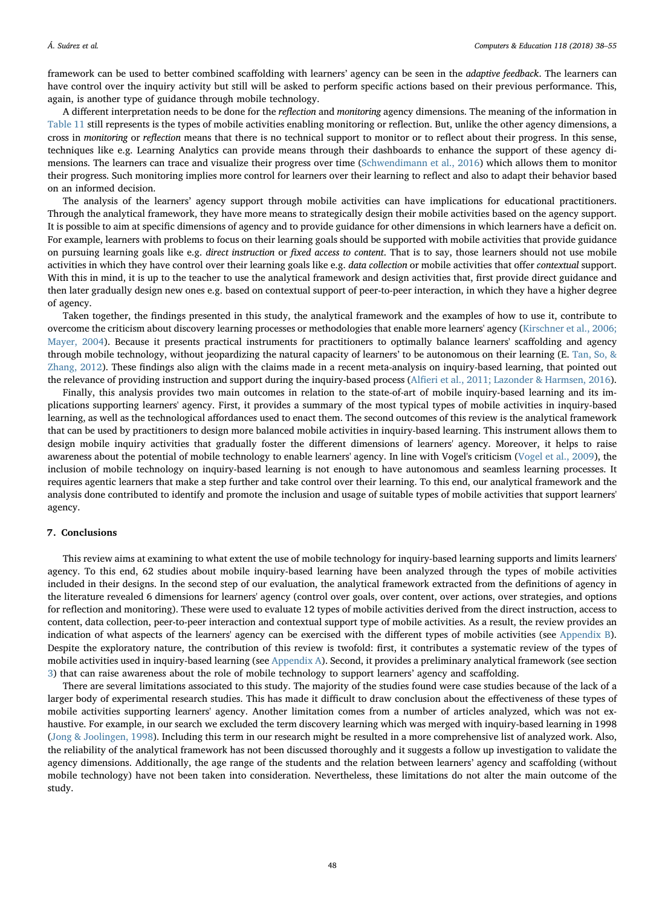framework can be used to better combined scaffolding with learners' agency can be seen in the adaptive feedback. The learners can have control over the inquiry activity but still will be asked to perform specific actions based on their previous performance. This, again, is another type of guidance through mobile technology.

A different interpretation needs to be done for the reflection and monitoring agency dimensions. The meaning of the information in [Table 11](#page-9-2) still represents is the types of mobile activities enabling monitoring or reflection. But, unlike the other agency dimensions, a cross in monitoring or reflection means that there is no technical support to monitor or to reflect about their progress. In this sense, techniques like e.g. Learning Analytics can provide means through their dashboards to enhance the support of these agency dimensions. The learners can trace and visualize their progress over time [\(Schwendimann et al., 2016\)](#page-16-27) which allows them to monitor their progress. Such monitoring implies more control for learners over their learning to reflect and also to adapt their behavior based on an informed decision.

The analysis of the learners' agency support through mobile activities can have implications for educational practitioners. Through the analytical framework, they have more means to strategically design their mobile activities based on the agency support. It is possible to aim at specific dimensions of agency and to provide guidance for other dimensions in which learners have a deficit on. For example, learners with problems to focus on their learning goals should be supported with mobile activities that provide guidance on pursuing learning goals like e.g. direct instruction or fixed access to content. That is to say, those learners should not use mobile activities in which they have control over their learning goals like e.g. data collection or mobile activities that offer contextual support. With this in mind, it is up to the teacher to use the analytical framework and design activities that, first provide direct guidance and then later gradually design new ones e.g. based on contextual support of peer-to-peer interaction, in which they have a higher degree of agency.

Taken together, the findings presented in this study, the analytical framework and the examples of how to use it, contribute to overcome the criticism about discovery learning processes or methodologies that enable more learners' agency [\(Kirschner et al., 2006;](#page-15-2) [Mayer, 2004](#page-15-2)). Because it presents practical instruments for practitioners to optimally balance learners' scaffolding and agency through mobile technology, without jeopardizing the natural capacity of learners' to be autonomous on their learning (E. [Tan, So, &](#page-17-14) [Zhang, 2012\)](#page-17-14). These findings also align with the claims made in a recent meta-analysis on inquiry-based learning, that pointed out the relevance of providing instruction and support during the inquiry-based process (Alfi[eri et al., 2011; Lazonder & Harmsen, 2016](#page-14-2)).

Finally, this analysis provides two main outcomes in relation to the state-of-art of mobile inquiry-based learning and its implications supporting learners' agency. First, it provides a summary of the most typical types of mobile activities in inquiry-based learning, as well as the technological affordances used to enact them. The second outcomes of this review is the analytical framework that can be used by practitioners to design more balanced mobile activities in inquiry-based learning. This instrument allows them to design mobile inquiry activities that gradually foster the different dimensions of learners' agency. Moreover, it helps to raise awareness about the potential of mobile technology to enable learners' agency. In line with Vogel's criticism [\(Vogel et al., 2009\)](#page-17-9), the inclusion of mobile technology on inquiry-based learning is not enough to have autonomous and seamless learning processes. It requires agentic learners that make a step further and take control over their learning. To this end, our analytical framework and the analysis done contributed to identify and promote the inclusion and usage of suitable types of mobile activities that support learners' agency.

## <span id="page-10-0"></span>7. Conclusions

This review aims at examining to what extent the use of mobile technology for inquiry-based learning supports and limits learners' agency. To this end, 62 studies about mobile inquiry-based learning have been analyzed through the types of mobile activities included in their designs. In the second step of our evaluation, the analytical framework extracted from the definitions of agency in the literature revealed 6 dimensions for learners' agency (control over goals, over content, over actions, over strategies, and options for reflection and monitoring). These were used to evaluate 12 types of mobile activities derived from the direct instruction, access to content, data collection, peer-to-peer interaction and contextual support type of mobile activities. As a result, the review provides an indication of what aspects of the learners' agency can be exercised with the different types of mobile activities (see [Appendix B\)](#page-14-9). Despite the exploratory nature, the contribution of this review is twofold: first, it contributes a systematic review of the types of mobile activities used in inquiry-based learning (see [Appendix A](#page-11-0)). Second, it provides a preliminary analytical framework (see section [3](#page-3-0)) that can raise awareness about the role of mobile technology to support learners' agency and scaffolding.

There are several limitations associated to this study. The majority of the studies found were case studies because of the lack of a larger body of experimental research studies. This has made it difficult to draw conclusion about the effectiveness of these types of mobile activities supporting learners' agency. Another limitation comes from a number of articles analyzed, which was not exhaustive. For example, in our search we excluded the term discovery learning which was merged with inquiry-based learning in 1998 ([Jong & Joolingen, 1998](#page-15-0)). Including this term in our research might be resulted in a more comprehensive list of analyzed work. Also, the reliability of the analytical framework has not been discussed thoroughly and it suggests a follow up investigation to validate the agency dimensions. Additionally, the age range of the students and the relation between learners' agency and scaffolding (without mobile technology) have not been taken into consideration. Nevertheless, these limitations do not alter the main outcome of the study.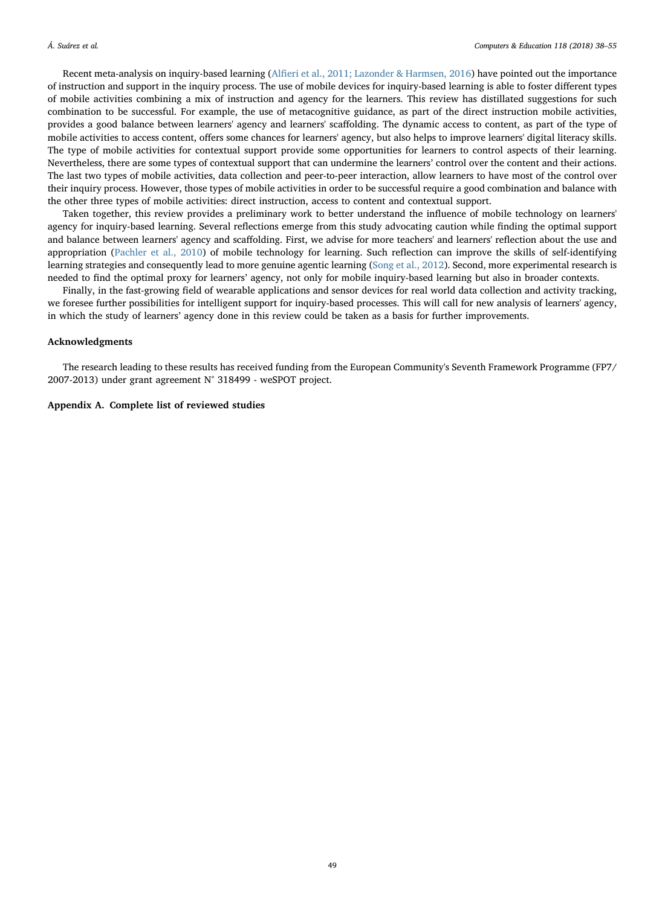Recent meta-analysis on inquiry-based learning (Alfi[eri et al., 2011; Lazonder & Harmsen, 2016\)](#page-14-2) have pointed out the importance of instruction and support in the inquiry process. The use of mobile devices for inquiry-based learning is able to foster different types of mobile activities combining a mix of instruction and agency for the learners. This review has distillated suggestions for such combination to be successful. For example, the use of metacognitive guidance, as part of the direct instruction mobile activities, provides a good balance between learners' agency and learners' scaffolding. The dynamic access to content, as part of the type of mobile activities to access content, offers some chances for learners' agency, but also helps to improve learners' digital literacy skills. The type of mobile activities for contextual support provide some opportunities for learners to control aspects of their learning. Nevertheless, there are some types of contextual support that can undermine the learners' control over the content and their actions. The last two types of mobile activities, data collection and peer-to-peer interaction, allow learners to have most of the control over their inquiry process. However, those types of mobile activities in order to be successful require a good combination and balance with the other three types of mobile activities: direct instruction, access to content and contextual support.

Taken together, this review provides a preliminary work to better understand the influence of mobile technology on learners' agency for inquiry-based learning. Several reflections emerge from this study advocating caution while finding the optimal support and balance between learners' agency and scaffolding. First, we advise for more teachers' and learners' reflection about the use and appropriation ([Pachler et al., 2010\)](#page-16-14) of mobile technology for learning. Such reflection can improve the skills of self-identifying learning strategies and consequently lead to more genuine agentic learning [\(Song et al., 2012\)](#page-17-13). Second, more experimental research is needed to find the optimal proxy for learners' agency, not only for mobile inquiry-based learning but also in broader contexts.

Finally, in the fast-growing field of wearable applications and sensor devices for real world data collection and activity tracking, we foresee further possibilities for intelligent support for inquiry-based processes. This will call for new analysis of learners' agency, in which the study of learners' agency done in this review could be taken as a basis for further improvements.

#### Acknowledgments

The research leading to these results has received funding from the European Community's Seventh Framework Programme (FP7/ 2007-2013) under grant agreement N° 318499 - weSPOT project.

## <span id="page-11-0"></span>Appendix A. Complete list of reviewed studies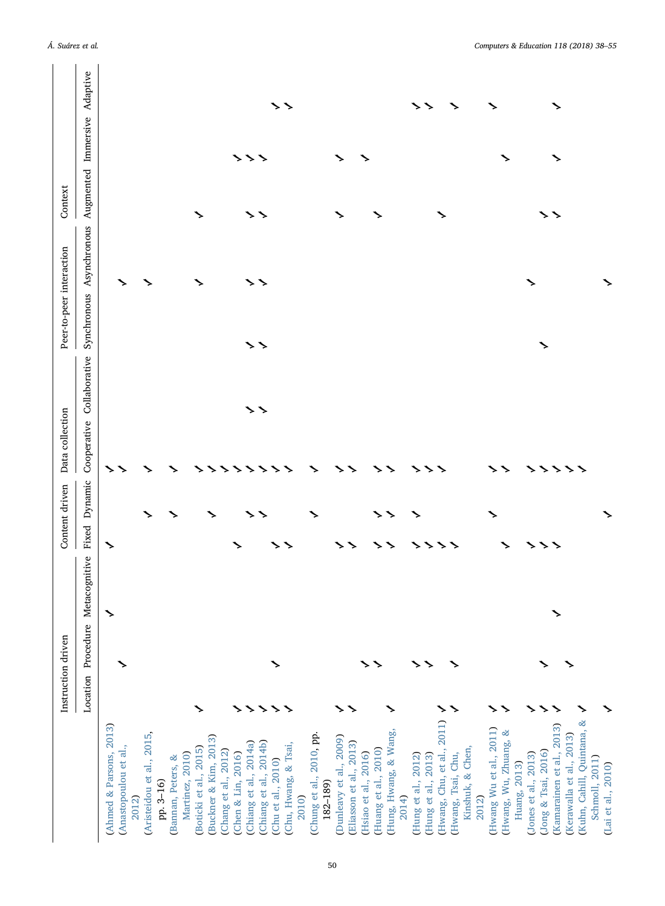|                                                   |          | Instruction driven |                         |       | Content driven | Data collection              | Peer-to-peer interaction |              | Context   |                       |
|---------------------------------------------------|----------|--------------------|-------------------------|-------|----------------|------------------------------|--------------------------|--------------|-----------|-----------------------|
|                                                   | Location |                    | Procedure Metacognitive | Fixed | Dynamic        | Collaborative<br>Cooperative | Synchronous              | Asynchronous | Augmented | Adaptive<br>Immersive |
| (Ahmed & Parsons, 2013)<br>(Anastopoulou et al.,  |          |                    | ↘                       | ↘     |                |                              |                          |              |           |                       |
| (Aristeidou et al., 2015,<br>2012)                |          |                    |                         |       |                |                              |                          |              |           |                       |
| (Bannan, Peters, &<br>pp. 3-16)                   |          |                    |                         |       |                |                              |                          |              |           |                       |
| Martinez, 2010)                                   |          |                    |                         |       |                |                              |                          |              |           |                       |
| (Buckner & Kim, 2013)<br>(Boticki et al., 2015)   |          |                    |                         |       |                |                              |                          |              |           |                       |
| (Chang et al., 2012)                              |          |                    |                         |       |                |                              |                          |              |           |                       |
| (Chen & Lin, 2016)                                |          |                    |                         |       |                |                              |                          |              |           |                       |
| (Chiang et al., 2014b)<br>(Chiang et al., 2014a)  |          |                    |                         |       |                | >>                           | ゝゝ                       | ╲            | ↘<br>╰    |                       |
| (Chu et al., 2010)                                |          |                    |                         |       |                |                              |                          |              |           | ゝゝ                    |
| (Chu, Hwang, & Tsai,<br>2010)                     |          |                    |                         |       |                |                              |                          |              |           |                       |
| (Chung et al., 2010, pp.<br>182-189)              |          |                    |                         |       | ↘              |                              |                          |              |           |                       |
| (Dunleavy et al., 2009)                           |          |                    |                         |       |                |                              |                          |              |           |                       |
| (Eliasson et al., 2013)                           |          |                    |                         |       |                |                              |                          |              |           |                       |
| (Hsiao et al., 2016)                              |          |                    |                         |       |                |                              |                          |              |           |                       |
| (Hung, Hwang, & Wang,<br>(Huang et al., 2010)     |          |                    |                         |       | ↘              |                              |                          |              |           |                       |
| 2014)                                             |          |                    |                         |       |                |                              |                          |              |           |                       |
| (Hung et al., 2012)                               |          |                    |                         |       |                |                              |                          |              |           | ↘                     |
| (Hwang, Chu, et al., 2011)<br>(Hung et al., 2013) |          |                    |                         |       |                |                              |                          |              |           | ↘                     |
| (Hwang, Tsai, Chu,                                |          |                    |                         |       |                |                              |                          |              |           |                       |
| Kinshuk, & Chen,<br>2012)                         |          |                    |                         |       |                |                              |                          |              |           |                       |
| (Hwang Wu et al., 2011)                           |          |                    |                         |       | ↘              |                              |                          |              |           |                       |
| (Hwang, Wu, Zhuang, &                             |          |                    |                         |       |                |                              |                          |              |           |                       |
| (Jones et al., 2013)<br>Huang, 2013)              |          |                    |                         |       |                | ↘                            |                          |              |           |                       |
| (Jong & Tsai, 2016)                               |          |                    |                         |       |                | >                            |                          |              | ↘         |                       |
| (Kamarainen et al., 2013)                         |          |                    |                         |       |                |                              |                          |              |           |                       |
| (Kerawalla et al., 2013)                          |          |                    |                         |       |                |                              |                          |              |           |                       |
| (Kuhn, Cahill, Quintana, &<br>Schmoll, 2011)      |          |                    |                         |       |                |                              |                          |              |           |                       |
| (Lai et al., 2010)                                |          |                    |                         |       |                |                              |                          |              |           |                       |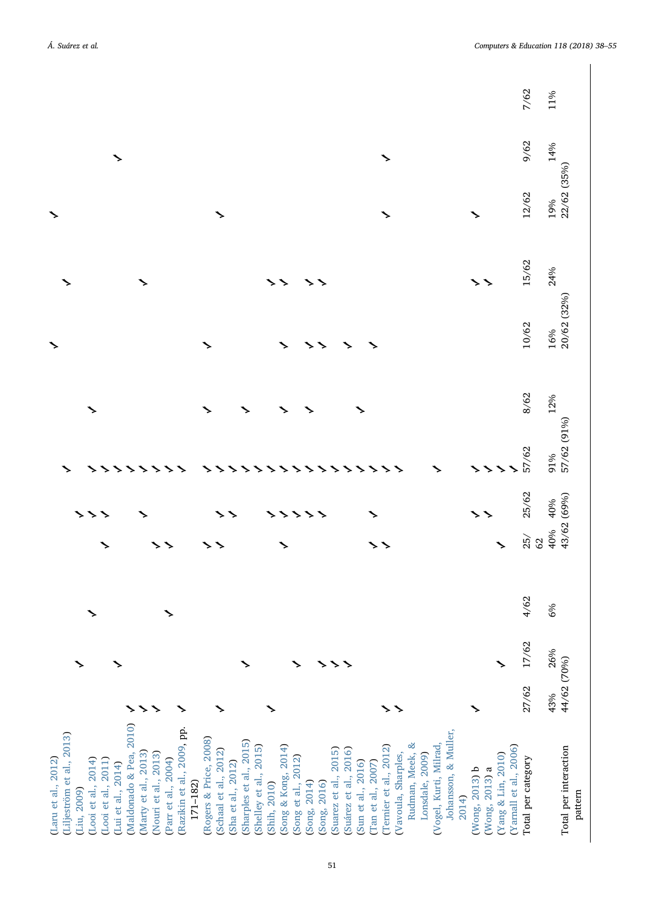|                                                                                                                                                                                                                                                                                                                                                                                                                                                                                                                                                                                                                                                                                                                                                            |                                                                                  | 7/62               | 11%                              |
|------------------------------------------------------------------------------------------------------------------------------------------------------------------------------------------------------------------------------------------------------------------------------------------------------------------------------------------------------------------------------------------------------------------------------------------------------------------------------------------------------------------------------------------------------------------------------------------------------------------------------------------------------------------------------------------------------------------------------------------------------------|----------------------------------------------------------------------------------|--------------------|----------------------------------|
| ↘<br>↘                                                                                                                                                                                                                                                                                                                                                                                                                                                                                                                                                                                                                                                                                                                                                     |                                                                                  | 9/62               | 14%                              |
| ↘<br>↘                                                                                                                                                                                                                                                                                                                                                                                                                                                                                                                                                                                                                                                                                                                                                     |                                                                                  | 12/62              | 22/62 (35%)<br>19%               |
| ↘                                                                                                                                                                                                                                                                                                                                                                                                                                                                                                                                                                                                                                                                                                                                                          | $\ddot{\phantom{1}}$<br>↘                                                        | 15/62              | 24%                              |
|                                                                                                                                                                                                                                                                                                                                                                                                                                                                                                                                                                                                                                                                                                                                                            |                                                                                  | 10/62              | 20/62 (32%)<br>16%               |
|                                                                                                                                                                                                                                                                                                                                                                                                                                                                                                                                                                                                                                                                                                                                                            |                                                                                  | 8/62               | 12%                              |
|                                                                                                                                                                                                                                                                                                                                                                                                                                                                                                                                                                                                                                                                                                                                                            |                                                                                  | 57/62              | 57/62 (91%)<br>91%               |
|                                                                                                                                                                                                                                                                                                                                                                                                                                                                                                                                                                                                                                                                                                                                                            | ↘                                                                                | 25/62              | 43/62 (69%)<br>40%               |
| $\rightarrow$<br>$\blacktriangleright$<br>↘<br>↘<br>↘<br>↘                                                                                                                                                                                                                                                                                                                                                                                                                                                                                                                                                                                                                                                                                                 | ↘                                                                                | 25/<br>62          | 40%                              |
| ↘                                                                                                                                                                                                                                                                                                                                                                                                                                                                                                                                                                                                                                                                                                                                                          |                                                                                  | 4/62               | 6%                               |
|                                                                                                                                                                                                                                                                                                                                                                                                                                                                                                                                                                                                                                                                                                                                                            |                                                                                  | 17/62              | 26%                              |
|                                                                                                                                                                                                                                                                                                                                                                                                                                                                                                                                                                                                                                                                                                                                                            |                                                                                  | 27/62              | 44/62 (70%)<br>43%               |
| (Maldonado & Pea, 2010)<br>(Razikin et al., 2009, pp.<br>Johansson, & Muller,<br>(Liljeström et al., 2013)<br>(Rogers & Price, 2008)<br>(Sharples et al., 2015)<br>Rudman, Meek, &<br>(Vogel, Kurti, Milrad,<br>(Ternier et al., 2012)<br>(Shelley et al., 2015)<br>(Song & Kong, 2014)<br>(Suarez et al., 2015)<br>(Suárez et al., 2016)<br>(Schaal et al., 2012)<br>Marty et al., 2013)<br>(Vavoula, Sharples,<br>(Nouri et al., 2013)<br>Lonsdale, 2009)<br>(Song et al., 2012)<br>(Laru et al., 2012)<br>(Parr et al., 2004)<br>(Looi et al., 2011)<br>(Looi et al., 2014)<br>(Sha et al., 2012)<br>(Sun et al., 2016)<br>(Tan et al., 2007)<br>(Lui et al., 2014)<br>171-182)<br>(Shih, 2010)<br>(Song, 2014)<br>(Song, 2016)<br>(Liu, 2009)<br>2014) | (Yarnall et al., 2006)<br>(Yang & Lin, 2010)<br>(Wong, 2013) b<br>(Wong, 2013) a | Total per category | Total per interaction<br>pattern |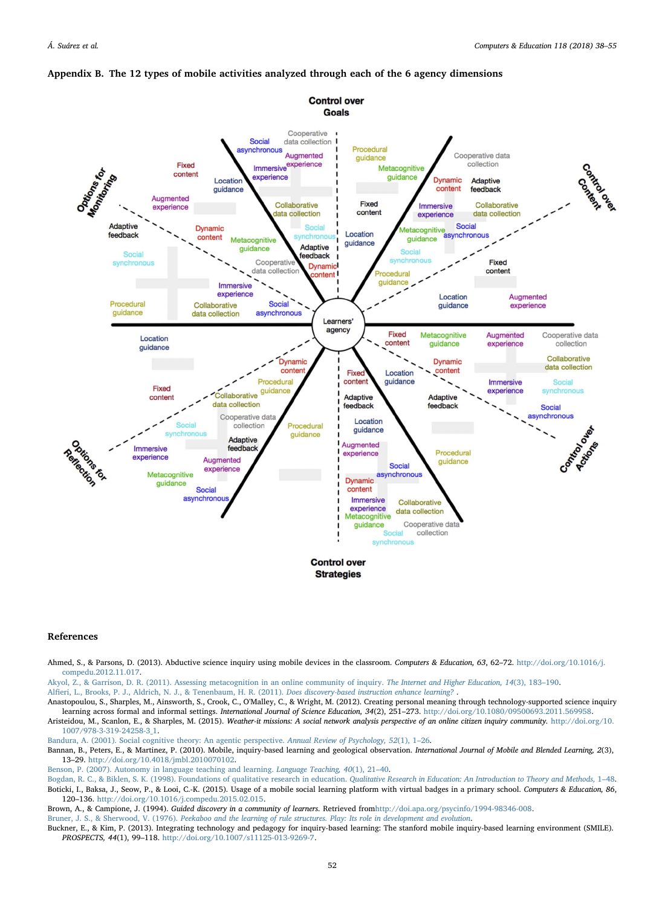#### <span id="page-14-9"></span>Appendix B. The 12 types of mobile activities analyzed through each of the 6 agency dimensions



#### References

<span id="page-14-8"></span>Ahmed, S., & Parsons, D. (2013). Abductive science inquiry using mobile devices in the classroom. Computers & Education, 63, 62-72. [http://doi.org/10.1016/j.](http://doi.org/10.1016/j.compedu.2012.11.017) [compedu.2012.11.017](http://doi.org/10.1016/j.compedu.2012.11.017).

<span id="page-14-7"></span>[Akyol, Z., & Garrison, D. R. \(2011\). Assessing metacognition in an online community of inquiry.](http://refhub.elsevier.com/S0360-1315(17)30239-7/sref2) The Internet and Higher Education, 14(3), 183–190.

<span id="page-14-2"></span>Alfi[eri, L., Brooks, P. J., Aldrich, N. J., & Tenenbaum, H. R. \(2011\).](http://refhub.elsevier.com/S0360-1315(17)30239-7/sref3) Does discovery-based instruction enhance learning?

- <span id="page-14-6"></span>Anastopoulou, S., Sharples, M., Ainsworth, S., Crook, C., O'Malley, C., & Wright, M. (2012). Creating personal meaning through technology-supported science inquiry learning across formal and informal settings. International Journal of Science Education, 34(2), 251-273. <http://doi.org/10.1080/09500693.2011.569958>.
- <span id="page-14-11"></span>Aristeidou, M., Scanlon, E., & Sharples, M. (2015). Weather-it missions: A social network analysis perspective of an online citizen inquiry community. [http://doi.org/10.](http://doi.org/10.1007/978-3-319-24258-3_1) [1007/978-3-319-24258-3\\_1.](http://doi.org/10.1007/978-3-319-24258-3_1)

<span id="page-14-4"></span>[Bandura, A. \(2001\). Social cognitive theory: An agentic perspective.](http://refhub.elsevier.com/S0360-1315(17)30239-7/sref6) Annual Review of Psychology, 52(1), 1–26.

<span id="page-14-12"></span>Bannan, B., Peters, E., & Martinez, P. (2010). Mobile, inquiry-based learning and geological observation. International Journal of Mobile and Blended Learning, 2(3), 13–29. <http://doi.org/10.4018/jmbl.2010070102>.

<span id="page-14-3"></span>[Benson, P. \(2007\). Autonomy in language teaching and learning.](http://refhub.elsevier.com/S0360-1315(17)30239-7/sref8) Language Teaching, 40(1), 21–40.

<span id="page-14-10"></span><span id="page-14-5"></span>[Bogdan, R. C., & Biklen, S. K. \(1998\). Foundations of qualitative research in education.](http://refhub.elsevier.com/S0360-1315(17)30239-7/sref9) Qualitative Research in Education: An Introduction to Theory and Methods, 1-48. Boticki, I., Baksa, J., Seow, P., & Looi, C.-K. (2015). Usage of a mobile social learning platform with virtual badges in a primary school. Computers & Education, 86, 120–136. [http://doi.org/10.1016/j.compedu.2015.02.015.](http://doi.org/10.1016/j.compedu.2015.02.015)

<span id="page-14-1"></span>Brown, A., & Campione, J. (1994). Guided discovery in a community of learners. Retrieved fro[mhttp://doi.apa.org/psycinfo/1994-98346-008.](http://doi.apa.org/psycinfo/1994-98346-008)

<span id="page-14-0"></span>Bruner, J. S., & Sherwood, V. (1976). [Peekaboo and the learning of rule structures. Play: Its role in development and evolution](http://refhub.elsevier.com/S0360-1315(17)30239-7/sref12).

<span id="page-14-13"></span>Buckner, E., & Kim, P. (2013). Integrating technology and pedagogy for inquiry-based learning: The stanford mobile inquiry-based learning environment (SMILE). PROSPECTS, 44(1), 99–118. [http://doi.org/10.1007/s11125-013-9269-7.](http://doi.org/10.1007/s11125-013-9269-7)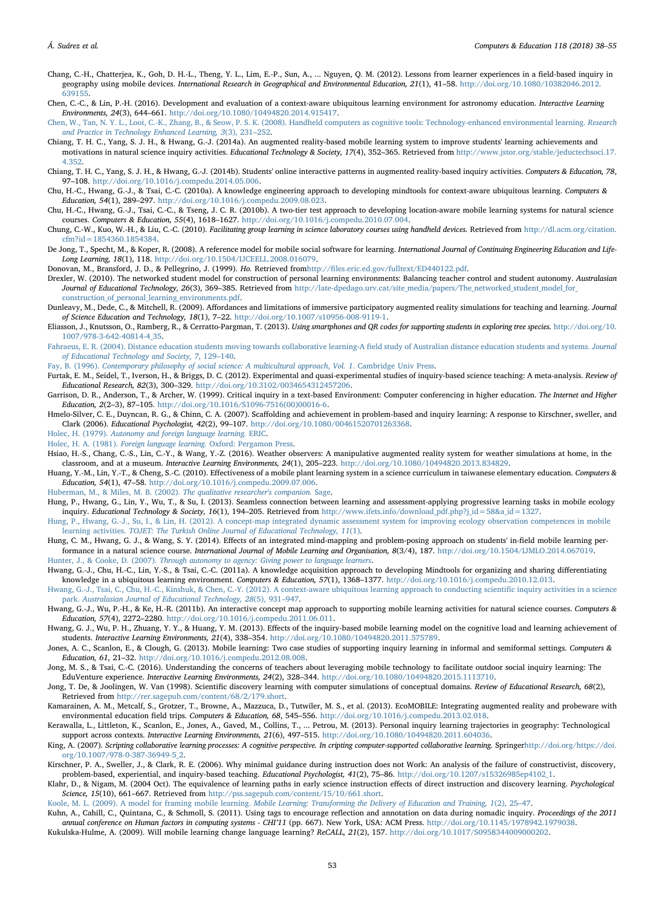- <span id="page-15-18"></span>Chang, C.-H., Chatterjea, K., Goh, D. H.-L., Theng, Y. L., Lim, E.-P., Sun, A., ... Nguyen, Q. M. (2012). Lessons from learner experiences in a field-based inquiry in geography using mobile devices. International Research in Geographical and Environmental Education, 21(1), 41-58. http://doi.org/10.1080/10382046.2012 [639155](http://doi.org/10.1080/10382046.2012.639155).
- <span id="page-15-22"></span>Chen, C.-C., & Lin, P.-H. (2016). Development and evaluation of a context-aware ubiquitous learning environment for astronomy education. Interactive Learning Environments, 24(3), 644–661. <http://doi.org/10.1080/10494820.2014.915417>.
- <span id="page-15-1"></span>[Chen, W., Tan, N. Y. L., Looi, C.-K., Zhang, B., & Seow, P. S. K. \(2008\). Handheld computers as cognitive tools: Technology-enhanced environmental learning.](http://refhub.elsevier.com/S0360-1315(17)30239-7/sref16) Research [and Practice in Technology Enhanced Learning, 3](http://refhub.elsevier.com/S0360-1315(17)30239-7/sref16)(3), 231–252.
- <span id="page-15-23"></span>Chiang, T. H. C., Yang, S. J. H., & Hwang, G.-J. (2014a). An augmented reality-based mobile learning system to improve students' learning achievements and motivations in natural science inquiry activities. Educational Technology & Society, 17(4), 352-365. Retrieved from [http://www.jstor.org/stable/jeductechsoci.17.](http://www.jstor.org/stable/jeductechsoci.17.4.352) [4.352](http://www.jstor.org/stable/jeductechsoci.17.4.352).
- <span id="page-15-17"></span>Chiang, T. H. C., Yang, S. J. H., & Hwang, G.-J. (2014b). Students' online interactive patterns in augmented reality-based inquiry activities. Computers & Education, 78, 97–108. <http://doi.org/10.1016/j.compedu.2014.05.006>.
- <span id="page-15-24"></span>Chu, H.-C., Hwang, G.-J., & Tsai, C.-C. (2010a). A knowledge engineering approach to developing mindtools for context-aware ubiquitous learning. Computers & Education, 54(1), 289–297. [http://doi.org/10.1016/j.compedu.2009.08.023.](http://doi.org/10.1016/j.compedu.2009.08.023)
- <span id="page-15-12"></span>Chu, H.-C., Hwang, G.-J., Tsai, C.-C., & Tseng, J. C. R. (2010b). A two-tier test approach to developing location-aware mobile learning systems for natural science courses. Computers & Education, 55(4), 1618–1627. <http://doi.org/10.1016/j.compedu.2010.07.004>.
- <span id="page-15-25"></span>Chung, C.-W., Kuo, W.-H., & Liu, C.-C. (2010). Facilitating group learning in science laboratory courses using handheld devices. Retrieved from [http://dl.acm.org/citation.](http://dl.acm.org/citation.cfm?id=1854360.1854384) [cfm?id=1854360.1854384](http://dl.acm.org/citation.cfm?id=1854360.1854384).
- <span id="page-15-7"></span>De Jong, T., Specht, M., & Koper, R. (2008). A reference model for mobile social software for learning. International Journal of Continuing Engineering Education and Life-Long Learning, 18(1), 118. [http://doi.org/10.1504/IJCEELL.2008.016079.](http://doi.org/10.1504/IJCEELL.2008.016079)

<span id="page-15-20"></span>Donovan, M., Bransford, J. D., & Pellegrino, J. (1999). Ho. Retrieved fromhttp://fi[les.eric.ed.gov/fulltext/ED440122.pdf](http://files.eric.ed.gov/fulltext/ED440122.pdf).

- Drexler, W. (2010). The networked student model for construction of personal learning environments: Balancing teacher control and student autonomy. Australasian Journal of Educational Technology, 26(3), 369-385. Retrieved from http://late-dpedago.urv.cat/site\_media/papers/The\_networked\_student\_model\_for [construction\\_of\\_personal\\_learning\\_environments.pdf.](http://late-dpedago.urv.cat/site_media/papers/The_networked_student_model_for_construction_of_personal_learning_environments.pdf)
- <span id="page-15-21"></span>Dunleavy, M., Dede, C., & Mitchell, R. (2009). Affordances and limitations of immersive participatory augmented reality simulations for teaching and learning. Journal of Science Education and Technology, 18(1), 7–22. [http://doi.org/10.1007/s10956-008-9119-1.](http://doi.org/10.1007/s10956-008-9119-1)
- <span id="page-15-13"></span>Eliasson, J., Knutsson, O., Ramberg, R., & Cerratto-Pargman, T. (2013). Using smartphones and QR codes for supporting students in exploring tree species. [http://doi.org/10.](http://doi.org/10.1007/978-3-642-40814-4_35) [1007/978-3-642-40814-4\\_35.](http://doi.org/10.1007/978-3-642-40814-4_35)
- <span id="page-15-6"></span>[Fahraeus, E. R. \(2004\). Distance education students moving towards collaborative learning-A](http://refhub.elsevier.com/S0360-1315(17)30239-7/sref28) field study of Australian distance education students and systems. Journal [of Educational Technology and Society, 7](http://refhub.elsevier.com/S0360-1315(17)30239-7/sref28), 129–140.
- <span id="page-15-8"></span>Fay, B. (1996). [Contemporary philosophy of social science: A multicultural approach](http://refhub.elsevier.com/S0360-1315(17)30239-7/sref29), Vol. 1. Cambridge Univ Press.
- <span id="page-15-3"></span>Furtak, E. M., Seidel, T., Iverson, H., & Briggs, D. C. (2012). Experimental and quasi-experimental studies of inquiry-based science teaching: A meta-analysis. Review of Educational Research, 82(3), 300–329. <http://doi.org/10.3102/0034654312457206>.
- <span id="page-15-19"></span>Garrison, D. R., Anderson, T., & Archer, W. (1999). Critical inquiry in a text-based Environment: Computer conferencing in higher education. The Internet and Higher Education, 2(2–3), 87–105. [http://doi.org/10.1016/S1096-7516\(00\)00016-6.](http://doi.org/10.1016/S1096-7516(00)
- Hmelo-Silver, C. E., Duyncan, R. G., & Chinn, C. A. (2007). Scaffolding and achievement in problem-based and inquiry learning: A response to Kirschner, sweller, and Clark (2006). Educational Psychologist, 42(2), 99–107. [http://doi.org/10.1080/00461520701263368.](http://doi.org/10.1080/00461520701263368)
- <span id="page-15-10"></span>Holec, H. (1979). [Autonomy and foreign language learning.](http://refhub.elsevier.com/S0360-1315(17)30239-7/sref33) ERIC.
- Holec, H. A. (1981). [Foreign language learning.](http://refhub.elsevier.com/S0360-1315(17)30239-7/sref34) Oxford: Pergamon Press.
- <span id="page-15-11"></span>Hsiao, H.-S., Chang, C.-S., Lin, C.-Y., & Wang, Y.-Z. (2016). Weather observers: A manipulative augmented reality system for weather simulations at home, in the classroom, and at a museum. Interactive Learning Environments, 24(1), 205–223. <http://doi.org/10.1080/10494820.2013.834829>.
- <span id="page-15-15"></span>Huang, Y.-M., Lin, Y.-T., & Cheng, S.-C. (2010). Effectiveness of a mobile plant learning system in a science curriculum in taiwanese elementary education. Computers & Education, 54(1), 47–58. [http://doi.org/10.1016/j.compedu.2009.07.006.](http://doi.org/10.1016/j.compedu.2009.07.006)
- [Huberman, M., & Miles, M. B. \(2002\).](http://refhub.elsevier.com/S0360-1315(17)30239-7/sref37) The qualitative researcher's companion. Sage.
- <span id="page-15-16"></span>Hung, P., Hwang, G., Lin, Y., Wu, T., & Su, I. (2013). Seamless connection between learning and assessment-applying progressive learning tasks in mobile ecology inquiry. Educational Technology & Society, 16(1), 194–205. Retrieved from [http://www.ifets.info/download\\_pdf.php?j\\_id=58&a\\_id=1327.](http://www.ifets.info/download_pdf.php?j_id=58&a_id=1327)
- <span id="page-15-27"></span>[Hung, P., Hwang, G.-J., Su, I., & Lin, H. \(2012\). A concept-map integrated dynamic assessment system for improving ecology observation competences in mobile](http://refhub.elsevier.com/S0360-1315(17)30239-7/sref39) learning activities. [TOJET: The Turkish Online Journal of Educational Technology, 11](http://refhub.elsevier.com/S0360-1315(17)30239-7/sref39)(1).
- <span id="page-15-26"></span>Hung, C. M., Hwang, G. J., & Wang, S. Y. (2014). Effects of an integrated mind-mapping and problem-posing approach on students' in-field mobile learning performance in a natural science course. International Journal of Mobile Learning and Organisation, 8(3/4), 187. [http://doi.org/10.1504/IJMLO.2014.067019.](http://doi.org/10.1504/IJMLO.2014.067019) Hunter, J., & Cooke, D. (2007). [Through autonomy to agency: Giving power to language learners](http://refhub.elsevier.com/S0360-1315(17)30239-7/sref41).
- <span id="page-15-28"></span><span id="page-15-9"></span>Hwang, G.-J., Chu, H.-C., Lin, Y.-S., & Tsai, C.-C. (2011a). A knowledge acquisition approach to developing Mindtools for organizing and sharing differentiating knowledge in a ubiquitous learning environment. Computers & Education, 57(1), 1368-1377. [http://doi.org/10.1016/j.compedu.2010.12.013.](http://doi.org/10.1016/j.compedu.2010.12.013)
- <span id="page-15-29"></span>[Hwang, G.-J., Tsai, C., Chu, H.-C., Kinshuk, & Chen, C.-Y. \(2012\). A context-aware ubiquitous learning approach to conducting scienti](http://refhub.elsevier.com/S0360-1315(17)30239-7/sref43)fic inquiry activities in a science park. [Australasian Journal of Educational Technology, 28](http://refhub.elsevier.com/S0360-1315(17)30239-7/sref43)(5), 931–947.
- <span id="page-15-30"></span>Hwang, G.-J., Wu, P.-H., & Ke, H.-R. (2011b). An interactive concept map approach to supporting mobile learning activities for natural science courses. Computers & Education, 57(4), 2272–2280. [http://doi.org/10.1016/j.compedu.2011.06.011.](http://doi.org/10.1016/j.compedu.2011.06.011)
- <span id="page-15-31"></span>Hwang, G. J., Wu, P. H., Zhuang, Y. Y., & Huang, Y. M. (2013). Effects of the inquiry-based mobile learning model on the cognitive load and learning achievement of students. Interactive Learning Environments, 21(4), 338–354. [http://doi.org/10.1080/10494820.2011.575789.](http://doi.org/10.1080/10494820.2011.575789)
- <span id="page-15-14"></span>Jones, A. C., Scanlon, E., & Clough, G. (2013). Mobile learning: Two case studies of supporting inquiry learning in informal and semiformal settings. Computers & Education, 61, 21–32. <http://doi.org/10.1016/j.compedu.2012.08.008>.
- <span id="page-15-32"></span>Jong, M. S., & Tsai, C.-C. (2016). Understanding the concerns of teachers about leveraging mobile technology to facilitate outdoor social inquiry learning: The EduVenture experience. Interactive Learning Environments, 24(2), 328–344. [http://doi.org/10.1080/10494820.2015.1113710.](http://doi.org/10.1080/10494820.2015.1113710)

<span id="page-15-0"></span>Jong, T. De, & Joolingen, W. Van (1998). Scientific discovery learning with computer simulations of conceptual domains. Review of Educational Research, 68(2), Retrieved from <http://rer.sagepub.com/content/68/2/179.short>.

- <span id="page-15-33"></span>Kamarainen, A. M., Metcalf, S., Grotzer, T., Browne, A., Mazzuca, D., Tutwiler, M. S., et al. (2013). EcoMOBILE: Integrating augmented reality and probeware with environmental education field trips. Computers & Education, 68, 545–556. [http://doi.org/10.1016/j.compedu.2013.02.018.](http://doi.org/10.1016/j.compedu.2013.02.018)
- <span id="page-15-34"></span>Kerawalla, L., Littleton, K., Scanlon, E., Jones, A., Gaved, M., Collins, T., ... Petrou, M. (2013). Personal inquiry learning trajectories in geography: Technological support across contexts. Interactive Learning Environments, 21(6), 497-515. <http://doi.org/10.1080/10494820.2011.604036>.
- King, A. (2007). Scripting collaborative learning processes: A cognitive perspective. In cripting computer-supported collaborative learning. Springer<http://doi.org/>[https://doi.](https://doi.org/10.1007/978-0-387-36949-5_2) [org/10.1007/978-0-387-36949-5\\_2](https://doi.org/10.1007/978-0-387-36949-5_2).
- <span id="page-15-2"></span>Kirschner, P. A., Sweller, J., & Clark, R. E. (2006). Why minimal guidance during instruction does not Work: An analysis of the failure of constructivist, discovery, problem-based, experiential, and inquiry-based teaching. Educational Psychologist, 41(2), 75-86. [http://doi.org/10.1207/s15326985ep4102\\_1.](http://doi.org/10.1207/s15326985ep4102_1)
- Klahr, D., & Nigam, M. (2004 Oct). The equivalence of learning paths in early science instruction effects of direct instruction and discovery learning. Psychological Science, 15(10), 661–667. Retrieved from <http://pss.sagepub.com/content/15/10/661.short>.
- <span id="page-15-4"></span>Koole, M. L. (2009). A model for framing mobile learning. [Mobile Learning: Transforming the Delivery of Education and Training, 1](http://refhub.elsevier.com/S0360-1315(17)30239-7/sref52)(2), 25–47.
- <span id="page-15-35"></span>Kuhn, A., Cahill, C., Quintana, C., & Schmoll, S. (2011). Using tags to encourage reflection and annotation on data during nomadic inquiry. Proceedings of the 2011 annual conference on Human factors in computing systems - CHI'11 (pp. 667). New York, USA: ACM Press. <http://doi.org/10.1145/1978942.1979038>.
- <span id="page-15-5"></span>Kukulska-Hulme, A. (2009). Will mobile learning change language learning? ReCALL, 21(2), 157. <http://doi.org/10.1017/S0958344009000202>.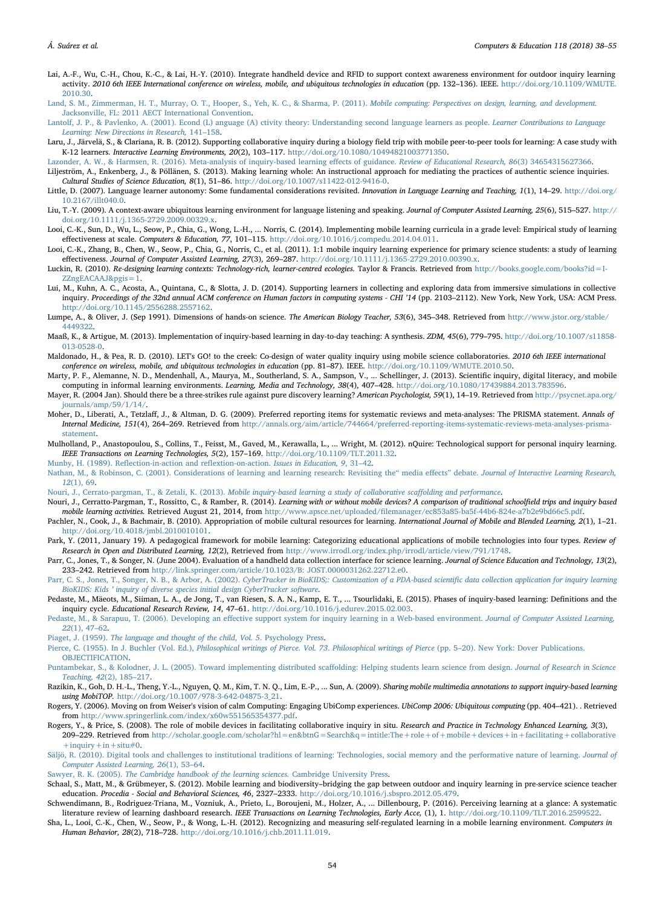- <span id="page-16-28"></span>Lai, A.-F., Wu, C.-H., Chou, K.-C., & Lai, H.-Y. (2010). Integrate handheld device and RFID to support context awareness environment for outdoor inquiry learning activity. 2010 6th IEEE International conference on wireless, mobile, and ubiquitous technologies in education (pp. 132–136). IEEE. [http://doi.org/10.1109/WMUTE.](http://doi.org/10.1109/WMUTE.2010.30) [2010.30](http://doi.org/10.1109/WMUTE.2010.30).
- <span id="page-16-7"></span>[Land, S. M., Zimmerman, H. T., Murray, O. T., Hooper, S., Yeh, K. C., & Sharma, P. \(2011\).](http://refhub.elsevier.com/S0360-1315(17)30239-7/sref55) Mobile computing: Perspectives on design, learning, and development. [Jacksonville, FL: 2011 AECT International Convention.](http://refhub.elsevier.com/S0360-1315(17)30239-7/sref55)
- [Lantolf, J. P., & Pavlenko, A. \(2001\). Econd \(L\) anguage \(A\) ctivity theory: Understanding second language learners as people.](http://refhub.elsevier.com/S0360-1315(17)30239-7/sref56) Learner Contributions to Language [Learning: New Directions in Research,](http://refhub.elsevier.com/S0360-1315(17)30239-7/sref56) 141–158.
- <span id="page-16-29"></span>Laru, J., Järvelä, S., & Clariana, R. B. (2012). Supporting collaborative inquiry during a biology field trip with mobile peer-to-peer tools for learning: A case study with K-12 learners. Interactive Learning Environments, 20(2), 103–117. <http://doi.org/10.1080/10494821003771350>.
- <span id="page-16-5"></span>[Lazonder, A. W., & Harmsen, R. \(2016\). Meta-analysis of inquiry-based learning e](http://refhub.elsevier.com/S0360-1315(17)30239-7/sref58)ffects of guidance. Review of Educational Research, 86(3) 34654315627366.
- <span id="page-16-30"></span>Liljeström, A., Enkenberg, J., & Pöllänen, S. (2013). Making learning whole: An instructional approach for mediating the practices of authentic science inquiries. Cultural Studies of Science Education, 8(1), 51–86. <http://doi.org/10.1007/s11422-012-9416-0>.
- <span id="page-16-11"></span>Little, D. (2007). Language learner autonomy: Some fundamental considerations revisited. Innovation in Language Learning and Teaching, 1(1), 14–29. [http://doi.org/](http://doi.org/10.2167/illt040.0) [10.2167/illt040.0](http://doi.org/10.2167/illt040.0).
- <span id="page-16-18"></span>Liu, T.-Y. (2009). A context-aware ubiquitous learning environment for language listening and speaking. Journal of Computer Assisted Learning, 25(6), 515-527. [http://](http://doi.org/10.1111/j.1365-2729.2009.00329.x) [doi.org/10.1111/j.1365-2729.2009.00329.x.](http://doi.org/10.1111/j.1365-2729.2009.00329.x)
- <span id="page-16-13"></span>Looi, C.-K., Sun, D., Wu, L., Seow, P., Chia, G., Wong, L.-H., ... Norris, C. (2014). Implementing mobile learning curricula in a grade level: Empirical study of learning effectiveness at scale. Computers & Education, 77, 101–115. <http://doi.org/10.1016/j.compedu.2014.04.011>.
- <span id="page-16-31"></span>Looi, C.-K., Zhang, B., Chen, W., Seow, P., Chia, G., Norris, C., et al. (2011). 1:1 mobile inquiry learning experience for primary science students: a study of learning effectiveness. Journal of Computer Assisted Learning, 27(3), 269-287. <http://doi.org/10.1111/j.1365-2729.2010.00390.x>.
- <span id="page-16-8"></span>Luckin, R. (2010). Re-designing learning contexts: Technology-rich, learner-centred ecologies. Taylor & Francis. Retrieved from [http://books.google.com/books?id=I-](http://books.google.com/books?id=I-ZZngEACAAJ&pgis=1)[ZZngEACAAJ&pgis=1.](http://books.google.com/books?id=I-ZZngEACAAJ&pgis=1)
- <span id="page-16-26"></span>Lui, M., Kuhn, A. C., Acosta, A., Quintana, C., & Slotta, J. D. (2014). Supporting learners in collecting and exploring data from immersive simulations in collective inquiry. Proceedings of the 32nd annual ACM conference on Human factors in computing systems - CHI '14 (pp. 2103–2112). New York, New York, USA: ACM Press. <http://doi.org/10.1145/2556288.2557162>.
- Lumpe, A., & Oliver, J. (Sep 1991). Dimensions of hands-on science. The American Biology Teacher, 53(6), 345-348. Retrieved from [http://www.jstor.org/stable/](http://www.jstor.org/stable/4449322) [4449322](http://www.jstor.org/stable/4449322).
- Maaß, K., & Artigue, M. (2013). Implementation of inquiry-based learning in day-to-day teaching: A synthesis. ZDM, 45(6), 779–795. [http://doi.org/10.1007/s11858-](http://doi.org/10.1007/s11858-013-0528-0) [013-0528-0.](http://doi.org/10.1007/s11858-013-0528-0)
- <span id="page-16-32"></span>Maldonado, H., & Pea, R. D. (2010). LET's GO! to the creek: Co-design of water quality inquiry using mobile science collaboratories. 2010 6th IEEE international conference on wireless, mobile, and ubiquitous technologies in education (pp. 81–87). IEEE. <http://doi.org/10.1109/WMUTE.2010.50>.
- <span id="page-16-24"></span>Marty, P. F., Alemanne, N. D., Mendenhall, A., Maurya, M., Southerland, S. A., Sampson, V., ... Schellinger, J. (2013). Scientific inquiry, digital literacy, and mobile computing in informal learning environments. Learning, Media and Technology, 38(4), 407-428. <http://doi.org/10.1080/17439884.2013.783596>.
- Mayer, R. (2004 Jan). Should there be a three-strikes rule against pure discovery learning? American Psychologist, 59(1), 14-19. Retrieved from [http://psycnet.apa.org/](http://psycnet.apa.org/journals/amp/59/1/14/) [journals/amp/59/1/14/](http://psycnet.apa.org/journals/amp/59/1/14/).
- <span id="page-16-12"></span>Moher, D., Liberati, A., Tetzlaff, J., & Altman, D. G. (2009). Preferred reporting items for systematic reviews and meta-analyses: The PRISMA statement. Annals of Internal Medicine, 151(4), 264–269. Retrieved from [http://annals.org/aim/article/744664/preferred-reporting-items-systematic-reviews-meta-analyses-prisma](http://annals.org/aim/article/744664/preferred-reporting-items-systematic-reviews-meta-analyses-prisma-statement)[statement.](http://annals.org/aim/article/744664/preferred-reporting-items-systematic-reviews-meta-analyses-prisma-statement)
- <span id="page-16-17"></span>Mulholland, P., Anastopoulou, S., Collins, T., Feisst, M., Gaved, M., Kerawalla, L., ... Wright, M. (2012). nQuire: Technological support for personal inquiry learning. IEEE Transactions on Learning Technologies, 5(2), 157–169. <http://doi.org/10.1109/TLT.2011.32>.
- <span id="page-16-23"></span>Munby, H. (1989). Refl[ection-in-action and re](http://refhub.elsevier.com/S0360-1315(17)30239-7/sref71)flextion-on-action. Issues in Education, 9, 31–42.
- <span id="page-16-25"></span>[Nathan, M., & Robinson, C. \(2001\). Considerations of learning and learning research: Revisiting the](http://refhub.elsevier.com/S0360-1315(17)30239-7/sref72)" media effects" debate. Journal of Interactive Learning Research, 12[\(1\), 69](http://refhub.elsevier.com/S0360-1315(17)30239-7/sref72).
- <span id="page-16-16"></span>Nouri, J., Cerrato-pargman, T., & Zetali, K. (2013). [Mobile inquiry-based learning a study of collaborative sca](http://refhub.elsevier.com/S0360-1315(17)30239-7/sref73)ffolding and performance.
- <span id="page-16-3"></span>Nouri, J., Cerratto-Pargman, T., Rossitto, C., & Ramber, R. (2014). Learning with or without mobile devices? A comparison of traditional schoolfield trips and inquiry based mobile learning activities. Retrieved August 21, 2014, from http://www.apsce.net/uploaded/fi[lemanager/ec853a85-ba5f-44b6-824e-a7b2e9bd66c5.pdf](http://www.apsce.net/uploaded/filemanager/ec853a85-ba5f-44b6-824e-a7b2e9bd66c5.pdf).
- <span id="page-16-14"></span>Pachler, N., Cook, J., & Bachmair, B. (2010). Appropriation of mobile cultural resources for learning. International Journal of Mobile and Blended Learning, 2(1), 1-21. [http://doi.org/10.4018/jmbl.2010010101.](http://doi.org/10.4018/jmbl.2010010101)
- <span id="page-16-10"></span>Park, Y. (2011, January 19). A pedagogical framework for mobile learning: Categorizing educational applications of mobile technologies into four types. Review of Research in Open and Distributed Learning, 12(2), Retrieved from [http://www.irrodl.org/index.php/irrodl/article/view/791/1748.](http://www.irrodl.org/index.php/irrodl/article/view/791/1748)
- <span id="page-16-20"></span>Parr, C., Jones, T., & Songer, N. (June 2004). Evaluation of a handheld data collection interface for science learning. Journal of Science Education and Technology, 13(2), 233–242. Retrieved from [http://link.springer.com/article/10.1023/B: JOST.0000031262.22712.e0](http://link.springer.com/article/10.1023/B:%20JOST.0000031262.22712.e0).
- <span id="page-16-19"></span>Parr, C. S., Jones, T., Songer, N. B., & Arbor, A. (2002). [CyberTracker in BioKIDS;: Customization of a PDA-based scienti](http://refhub.elsevier.com/S0360-1315(17)30239-7/sref79)fic data collection application for inquiry learning BioKIDS: Kids ' [inquiry of diverse species initial design CyberTracker software](http://refhub.elsevier.com/S0360-1315(17)30239-7/sref79).
- <span id="page-16-4"></span>Pedaste, M., Mäeots, M., Siiman, L. A., de Jong, T., van Riesen, S. A. N., Kamp, E. T., ... Tsourlidaki, E. (2015). Phases of inquiry-based learning: Definitions and the inquiry cycle. Educational Research Review, 14, 47–61. <http://doi.org/10.1016/j.edurev.2015.02.003>.
- <span id="page-16-1"></span>Pedaste, M., & Sarapuu, T. (2006). Developing an eff[ective support system for inquiry learning in a Web-based environment.](http://refhub.elsevier.com/S0360-1315(17)30239-7/sref81) Journal of Computer Assisted Learning, 22[\(1\), 47](http://refhub.elsevier.com/S0360-1315(17)30239-7/sref81)–62.
- <span id="page-16-0"></span>Piaget, J. (1959). [The language and thought of the child](http://refhub.elsevier.com/S0360-1315(17)30239-7/sref82), Vol. 5. Psychology Press.
- [Pierce, C. \(1955\). In J. Buchler \(Vol. Ed.\),](http://refhub.elsevier.com/S0360-1315(17)30239-7/sref83) Philosophical writings of Pierce. Vol. 73. Philosophical writings of Pierce (pp. 5–20). New York: Dover Publications. [OBJECTIFICATION](http://refhub.elsevier.com/S0360-1315(17)30239-7/sref83).
- <span id="page-16-6"></span>[Puntambekar, S., & Kolodner, J. L. \(2005\). Toward implementing distributed sca](http://refhub.elsevier.com/S0360-1315(17)30239-7/sref84)ffolding: Helping students learn science from design. Journal of Research in Science [Teaching, 42](http://refhub.elsevier.com/S0360-1315(17)30239-7/sref84)(2), 185–217.
- <span id="page-16-33"></span>Razikin, K., Goh, D. H.-L., Theng, Y.-L., Nguyen, Q. M., Kim, T. N. Q., Lim, E.-P., ... Sun, A. (2009). Sharing mobile multimedia annotations to support inquiry-based learning using MobiTOP. [http://doi.org/10.1007/978-3-642-04875-3\\_21](http://doi.org/10.1007/978-3-642-04875-3_21).
- <span id="page-16-22"></span>Rogers, Y. (2006). Moving on from Weiser's vision of calm Computing: Engaging UbiComp experiences. UbiComp 2006: Ubiquitous computing (pp. 404-421). . Retrieved from [http://www.springerlink.com/index/x60w551565354377.pdf.](http://www.springerlink.com/index/x60w551565354377.pdf)
- <span id="page-16-15"></span>Rogers, Y., & Price, S. (2008). The role of mobile devices in facilitating collaborative inquiry in situ. Research and Practice in Technology Enhanced Learning, 3(3), 209–229. Retrieved from [http://scholar.google.com/scholar?hl=en&btnG=Search&q=intitle:The+role+of+mobile+devices+in+facilitating+collaborative](http://scholar.google.com/scholar?hl=en&btnG=Search&q=intitle:The+olefobileevicesnacilitatingollaborativenquiryn+itu#0)  $+$ inquiry  $+$  in  $+$  situ#0.
- <span id="page-16-9"></span>[Säljö, R. \(2010\). Digital tools and challenges to institutional traditions of learning: Technologies, social memory and the performative nature of learning.](http://refhub.elsevier.com/S0360-1315(17)30239-7/sref88) Journal of [Computer Assisted Learning, 26](http://refhub.elsevier.com/S0360-1315(17)30239-7/sref88)(1), 53–64.
- <span id="page-16-2"></span>Sawyer, R. K. (2005). [The Cambridge handbook of the learning sciences.](http://refhub.elsevier.com/S0360-1315(17)30239-7/sref89) Cambridge University Press.
- <span id="page-16-34"></span>Schaal, S., Matt, M., & Grübmeyer, S. (2012). Mobile learning and biodiversity–bridging the gap between outdoor and inquiry learning in pre-service science teacher education. Procedia - Social and Behavioral Sciences, 46, 2327–2333. <http://doi.org/10.1016/j.sbspro.2012.05.479>.
- <span id="page-16-27"></span>Schwendimann, B., Rodriguez-Triana, M., Vozniuk, A., Prieto, L., Boroujeni, M., Holzer, A., ... Dillenbourg, P. (2016). Perceiving learning at a glance: A systematic literature review of learning dashboard research. IEEE Transactions on Learning Technologies, Early Acce, (1), 1. [http://doi.org/10.1109/TLT.2016.2599522.](http://doi.org/10.1109/TLT.2016.2599522)
- <span id="page-16-21"></span>Sha, L., Looi, C.-K., Chen, W., Seow, P., & Wong, L.-H. (2012). Recognizing and measuring self-regulated learning in a mobile learning environment. Computers in Human Behavior, 28(2), 718–728. [http://doi.org/10.1016/j.chb.2011.11.019.](http://doi.org/10.1016/j.chb.2011.11.019)